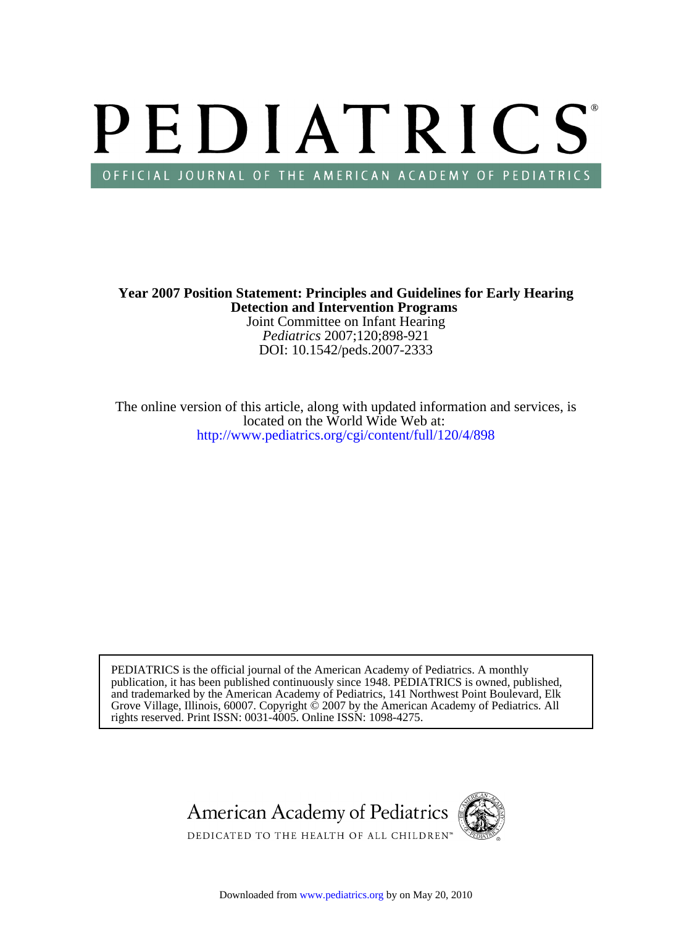# PEDIATRICS OFFICIAL JOURNAL OF THE AMERICAN ACADEMY OF PEDIATRICS

DOI: 10.1542/peds.2007-2333 *Pediatrics* 2007;120;898-921 Joint Committee on Infant Hearing **Detection and Intervention Programs Year 2007 Position Statement: Principles and Guidelines for Early Hearing**

<http://www.pediatrics.org/cgi/content/full/120/4/898> located on the World Wide Web at: The online version of this article, along with updated information and services, is

rights reserved. Print ISSN: 0031-4005. Online ISSN: 1098-4275. Grove Village, Illinois, 60007. Copyright  $\ddot{\odot}$  2007 by the American Academy of Pediatrics. All and trademarked by the American Academy of Pediatrics, 141 Northwest Point Boulevard, Elk publication, it has been published continuously since 1948. PEDIATRICS is owned, published, PEDIATRICS is the official journal of the American Academy of Pediatrics. A monthly

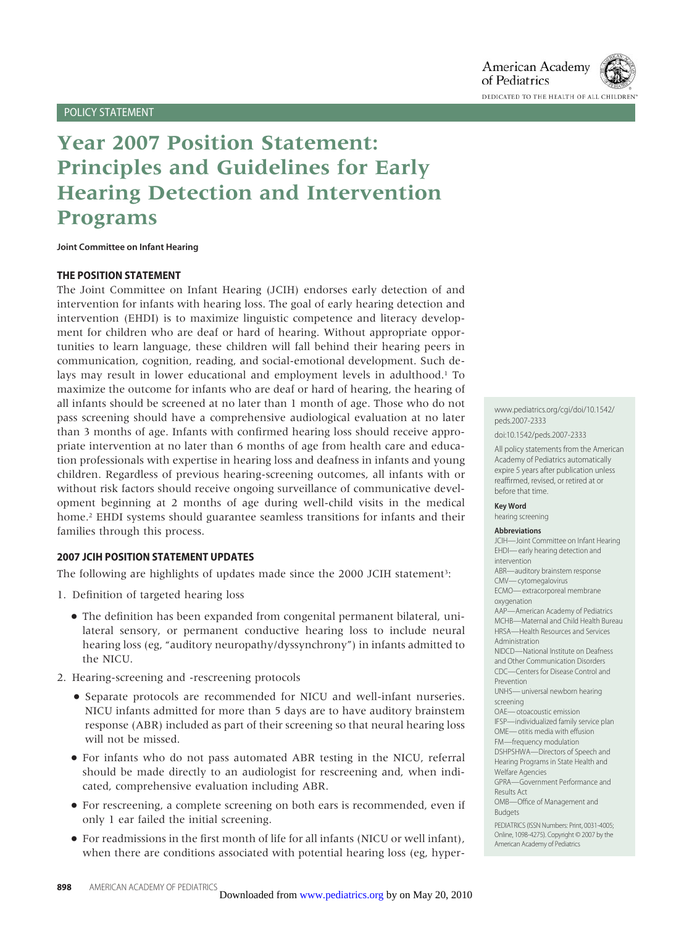#### POLICY STATEMENT

# **Year 2007 Position Statement: Principles and Guidelines for Early Hearing Detection and Intervention Programs**

**Joint Committee on Infant Hearing**

# **THE POSITION STATEMENT**

The Joint Committee on Infant Hearing (JCIH) endorses early detection of and intervention for infants with hearing loss. The goal of early hearing detection and intervention (EHDI) is to maximize linguistic competence and literacy development for children who are deaf or hard of hearing. Without appropriate opportunities to learn language, these children will fall behind their hearing peers in communication, cognition, reading, and social-emotional development. Such delays may result in lower educational and employment levels in adulthood.<sup>1</sup> To maximize the outcome for infants who are deaf or hard of hearing, the hearing of all infants should be screened at no later than 1 month of age. Those who do not pass screening should have a comprehensive audiological evaluation at no later than 3 months of age. Infants with confirmed hearing loss should receive appropriate intervention at no later than 6 months of age from health care and education professionals with expertise in hearing loss and deafness in infants and young children. Regardless of previous hearing-screening outcomes, all infants with or without risk factors should receive ongoing surveillance of communicative development beginning at 2 months of age during well-child visits in the medical home.<sup>2</sup> EHDI systems should guarantee seamless transitions for infants and their families through this process.

# **2007 JCIH POSITION STATEMENT UPDATES**

The following are highlights of updates made since the  $2000$  JCIH statement<sup>3</sup>:

- 1. Definition of targeted hearing loss
	- The definition has been expanded from congenital permanent bilateral, unilateral sensory, or permanent conductive hearing loss to include neural hearing loss (eg, "auditory neuropathy/dyssynchrony") in infants admitted to the NICU.
- 2. Hearing-screening and -rescreening protocols
	- Separate protocols are recommended for NICU and well-infant nurseries. NICU infants admitted for more than 5 days are to have auditory brainstem response (ABR) included as part of their screening so that neural hearing loss will not be missed.
	- For infants who do not pass automated ABR testing in the NICU, referral should be made directly to an audiologist for rescreening and, when indicated, comprehensive evaluation including ABR.
	- For rescreening, a complete screening on both ears is recommended, even if only 1 ear failed the initial screening.
	- For readmissions in the first month of life for all infants (NICU or well infant), when there are conditions associated with potential hearing loss (eg, hyper-

www.pediatrics.org/cgi/doi/10.1542/ peds.2007-2333

doi:10.1542/peds.2007-2333

All policy statements from the American Academy of Pediatrics automatically expire 5 years after publication unless reaffirmed, revised, or retired at or before that time.

**Key Word**

hearing screening

#### **Abbreviations**

JCIH—Joint Committee on Infant Hearing EHDI— early hearing detection and intervention ABR—auditory brainstem response CMV— cytomegalovirus ECMO— extracorporeal membrane oxygenation AAP—American Academy of Pediatrics MCHB—Maternal and Child Health Bureau HRSA—Health Resources and Services Administration NIDCD—National Institute on Deafness and Other Communication Disorders CDC—Centers for Disease Control and Prevention UNHS—universal newborn hearing screening OAE— otoacoustic emission IFSP—individualized family service plan OME— otitis media with effusion FM—frequency modulation DSHPSHWA—Directors of Speech and Hearing Programs in State Health and Welfare Agencies GPRA—Government Performance and Results Act OMB—Office of Management and Budgets PEDIATRICS (ISSN Numbers: Print, 0031-4005; Online, 1098-4275). Copyright © 2007 by the American Academy of Pediatrics

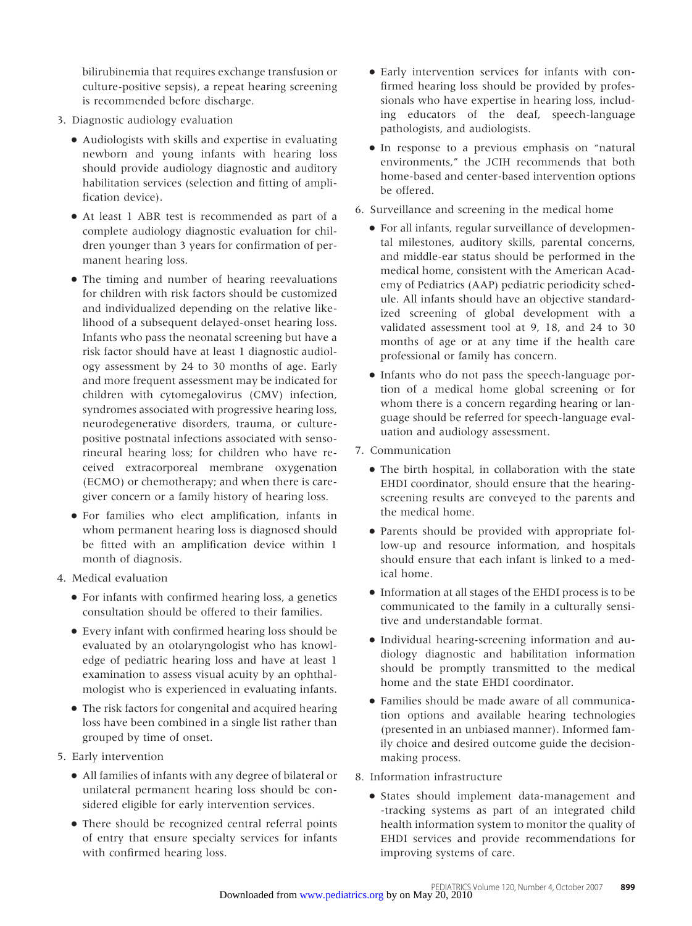bilirubinemia that requires exchange transfusion or culture-positive sepsis), a repeat hearing screening is recommended before discharge.

- 3. Diagnostic audiology evaluation
	- Audiologists with skills and expertise in evaluating newborn and young infants with hearing loss should provide audiology diagnostic and auditory habilitation services (selection and fitting of amplification device).
	- At least 1 ABR test is recommended as part of a complete audiology diagnostic evaluation for children younger than 3 years for confirmation of permanent hearing loss.
	- The timing and number of hearing reevaluations for children with risk factors should be customized and individualized depending on the relative likelihood of a subsequent delayed-onset hearing loss. Infants who pass the neonatal screening but have a risk factor should have at least 1 diagnostic audiology assessment by 24 to 30 months of age. Early and more frequent assessment may be indicated for children with cytomegalovirus (CMV) infection, syndromes associated with progressive hearing loss, neurodegenerative disorders, trauma, or culturepositive postnatal infections associated with sensorineural hearing loss; for children who have received extracorporeal membrane oxygenation (ECMO) or chemotherapy; and when there is caregiver concern or a family history of hearing loss.
	- For families who elect amplification, infants in whom permanent hearing loss is diagnosed should be fitted with an amplification device within 1 month of diagnosis.
- 4. Medical evaluation
	- For infants with confirmed hearing loss, a genetics consultation should be offered to their families.
	- Every infant with confirmed hearing loss should be evaluated by an otolaryngologist who has knowledge of pediatric hearing loss and have at least 1 examination to assess visual acuity by an ophthalmologist who is experienced in evaluating infants.
	- The risk factors for congenital and acquired hearing loss have been combined in a single list rather than grouped by time of onset.
- 5. Early intervention
	- All families of infants with any degree of bilateral or unilateral permanent hearing loss should be considered eligible for early intervention services.
	- There should be recognized central referral points of entry that ensure specialty services for infants with confirmed hearing loss.
- Early intervention services for infants with confirmed hearing loss should be provided by professionals who have expertise in hearing loss, including educators of the deaf, speech-language pathologists, and audiologists.
- In response to a previous emphasis on "natural environments," the JCIH recommends that both home-based and center-based intervention options be offered.
- 6. Surveillance and screening in the medical home
	- For all infants, regular surveillance of developmental milestones, auditory skills, parental concerns, and middle-ear status should be performed in the medical home, consistent with the American Academy of Pediatrics (AAP) pediatric periodicity schedule. All infants should have an objective standardized screening of global development with a validated assessment tool at 9, 18, and 24 to 30 months of age or at any time if the health care professional or family has concern.
	- Infants who do not pass the speech-language portion of a medical home global screening or for whom there is a concern regarding hearing or language should be referred for speech-language evaluation and audiology assessment.
- 7. Communication
	- The birth hospital, in collaboration with the state EHDI coordinator, should ensure that the hearingscreening results are conveyed to the parents and the medical home.
	- Parents should be provided with appropriate follow-up and resource information, and hospitals should ensure that each infant is linked to a medical home.
	- Information at all stages of the EHDI process is to be communicated to the family in a culturally sensitive and understandable format.
	- Individual hearing-screening information and audiology diagnostic and habilitation information should be promptly transmitted to the medical home and the state EHDI coordinator.
	- Families should be made aware of all communication options and available hearing technologies (presented in an unbiased manner). Informed family choice and desired outcome guide the decisionmaking process.
- 8. Information infrastructure
	- States should implement data-management and -tracking systems as part of an integrated child health information system to monitor the quality of EHDI services and provide recommendations for improving systems of care.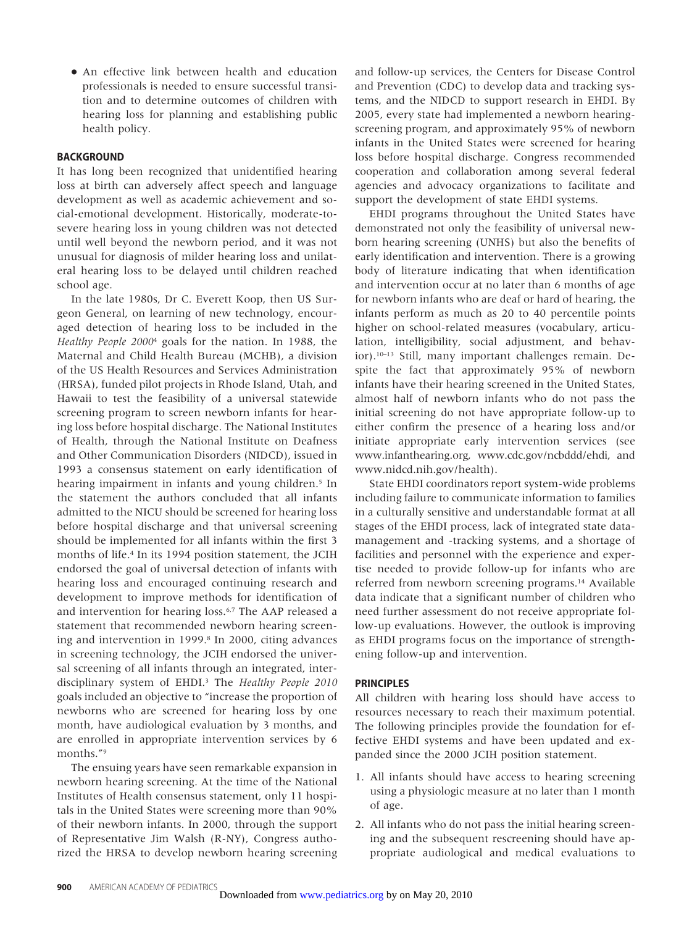● An effective link between health and education professionals is needed to ensure successful transition and to determine outcomes of children with hearing loss for planning and establishing public health policy.

# **BACKGROUND**

It has long been recognized that unidentified hearing loss at birth can adversely affect speech and language development as well as academic achievement and social-emotional development. Historically, moderate-tosevere hearing loss in young children was not detected until well beyond the newborn period, and it was not unusual for diagnosis of milder hearing loss and unilateral hearing loss to be delayed until children reached school age.

In the late 1980s, Dr C. Everett Koop, then US Surgeon General, on learning of new technology, encouraged detection of hearing loss to be included in the *Healthy People 2000*<sup>4</sup> goals for the nation. In 1988, the Maternal and Child Health Bureau (MCHB), a division of the US Health Resources and Services Administration (HRSA), funded pilot projects in Rhode Island, Utah, and Hawaii to test the feasibility of a universal statewide screening program to screen newborn infants for hearing loss before hospital discharge. The National Institutes of Health, through the National Institute on Deafness and Other Communication Disorders (NIDCD), issued in 1993 a consensus statement on early identification of hearing impairment in infants and young children.<sup>5</sup> In the statement the authors concluded that all infants admitted to the NICU should be screened for hearing loss before hospital discharge and that universal screening should be implemented for all infants within the first 3 months of life.4 In its 1994 position statement, the JCIH endorsed the goal of universal detection of infants with hearing loss and encouraged continuing research and development to improve methods for identification of and intervention for hearing loss.6,7 The AAP released a statement that recommended newborn hearing screening and intervention in 1999.<sup>8</sup> In 2000, citing advances in screening technology, the JCIH endorsed the universal screening of all infants through an integrated, interdisciplinary system of EHDI.3 The *Healthy People 2010* goals included an objective to "increase the proportion of newborns who are screened for hearing loss by one month, have audiological evaluation by 3 months, and are enrolled in appropriate intervention services by 6 months."9

The ensuing years have seen remarkable expansion in newborn hearing screening. At the time of the National Institutes of Health consensus statement, only 11 hospitals in the United States were screening more than 90% of their newborn infants. In 2000, through the support of Representative Jim Walsh (R-NY), Congress authorized the HRSA to develop newborn hearing screening and follow-up services, the Centers for Disease Control and Prevention (CDC) to develop data and tracking systems, and the NIDCD to support research in EHDI. By 2005, every state had implemented a newborn hearingscreening program, and approximately 95% of newborn infants in the United States were screened for hearing loss before hospital discharge. Congress recommended cooperation and collaboration among several federal agencies and advocacy organizations to facilitate and support the development of state EHDI systems.

EHDI programs throughout the United States have demonstrated not only the feasibility of universal newborn hearing screening (UNHS) but also the benefits of early identification and intervention. There is a growing body of literature indicating that when identification and intervention occur at no later than 6 months of age for newborn infants who are deaf or hard of hearing, the infants perform as much as 20 to 40 percentile points higher on school-related measures (vocabulary, articulation, intelligibility, social adjustment, and behavior).10–13 Still, many important challenges remain. Despite the fact that approximately 95% of newborn infants have their hearing screened in the United States, almost half of newborn infants who do not pass the initial screening do not have appropriate follow-up to either confirm the presence of a hearing loss and/or initiate appropriate early intervention services (see www.infanthearing.org, www.cdc.gov/ncbddd/ehdi, and www.nidcd.nih.gov/health).

State EHDI coordinators report system-wide problems including failure to communicate information to families in a culturally sensitive and understandable format at all stages of the EHDI process, lack of integrated state datamanagement and -tracking systems, and a shortage of facilities and personnel with the experience and expertise needed to provide follow-up for infants who are referred from newborn screening programs.14 Available data indicate that a significant number of children who need further assessment do not receive appropriate follow-up evaluations. However, the outlook is improving as EHDI programs focus on the importance of strengthening follow-up and intervention.

#### **PRINCIPLES**

All children with hearing loss should have access to resources necessary to reach their maximum potential. The following principles provide the foundation for effective EHDI systems and have been updated and expanded since the 2000 JCIH position statement.

- 1. All infants should have access to hearing screening using a physiologic measure at no later than 1 month of age.
- 2. All infants who do not pass the initial hearing screening and the subsequent rescreening should have appropriate audiological and medical evaluations to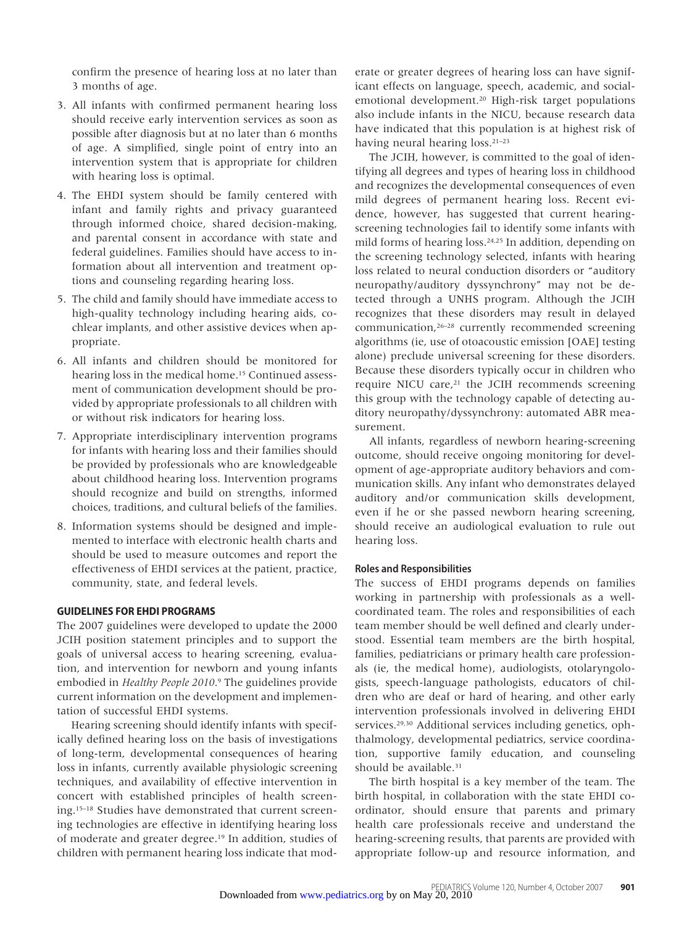confirm the presence of hearing loss at no later than 3 months of age.

- 3. All infants with confirmed permanent hearing loss should receive early intervention services as soon as possible after diagnosis but at no later than 6 months of age. A simplified, single point of entry into an intervention system that is appropriate for children with hearing loss is optimal.
- 4. The EHDI system should be family centered with infant and family rights and privacy guaranteed through informed choice, shared decision-making, and parental consent in accordance with state and federal guidelines. Families should have access to information about all intervention and treatment options and counseling regarding hearing loss.
- 5. The child and family should have immediate access to high-quality technology including hearing aids, cochlear implants, and other assistive devices when appropriate.
- 6. All infants and children should be monitored for hearing loss in the medical home.<sup>15</sup> Continued assessment of communication development should be provided by appropriate professionals to all children with or without risk indicators for hearing loss.
- 7. Appropriate interdisciplinary intervention programs for infants with hearing loss and their families should be provided by professionals who are knowledgeable about childhood hearing loss. Intervention programs should recognize and build on strengths, informed choices, traditions, and cultural beliefs of the families.
- 8. Information systems should be designed and implemented to interface with electronic health charts and should be used to measure outcomes and report the effectiveness of EHDI services at the patient, practice, community, state, and federal levels.

#### **GUIDELINES FOR EHDI PROGRAMS**

The 2007 guidelines were developed to update the 2000 JCIH position statement principles and to support the goals of universal access to hearing screening, evaluation, and intervention for newborn and young infants embodied in *Healthy People 2010*.9 The guidelines provide current information on the development and implementation of successful EHDI systems.

Hearing screening should identify infants with specifically defined hearing loss on the basis of investigations of long-term, developmental consequences of hearing loss in infants, currently available physiologic screening techniques, and availability of effective intervention in concert with established principles of health screening.15–18 Studies have demonstrated that current screening technologies are effective in identifying hearing loss of moderate and greater degree.19 In addition, studies of children with permanent hearing loss indicate that moderate or greater degrees of hearing loss can have significant effects on language, speech, academic, and socialemotional development.20 High-risk target populations also include infants in the NICU, because research data have indicated that this population is at highest risk of having neural hearing loss.21–23

The JCIH, however, is committed to the goal of identifying all degrees and types of hearing loss in childhood and recognizes the developmental consequences of even mild degrees of permanent hearing loss. Recent evidence, however, has suggested that current hearingscreening technologies fail to identify some infants with mild forms of hearing loss.24,25 In addition, depending on the screening technology selected, infants with hearing loss related to neural conduction disorders or "auditory neuropathy/auditory dyssynchrony" may not be detected through a UNHS program. Although the JCIH recognizes that these disorders may result in delayed communication,26–28 currently recommended screening algorithms (ie, use of otoacoustic emission [OAE] testing alone) preclude universal screening for these disorders. Because these disorders typically occur in children who require NICU care, $21$  the JCIH recommends screening this group with the technology capable of detecting auditory neuropathy/dyssynchrony: automated ABR measurement.

All infants, regardless of newborn hearing-screening outcome, should receive ongoing monitoring for development of age-appropriate auditory behaviors and communication skills. Any infant who demonstrates delayed auditory and/or communication skills development, even if he or she passed newborn hearing screening, should receive an audiological evaluation to rule out hearing loss.

#### **Roles and Responsibilities**

The success of EHDI programs depends on families working in partnership with professionals as a wellcoordinated team. The roles and responsibilities of each team member should be well defined and clearly understood. Essential team members are the birth hospital, families, pediatricians or primary health care professionals (ie, the medical home), audiologists, otolaryngologists, speech-language pathologists, educators of children who are deaf or hard of hearing, and other early intervention professionals involved in delivering EHDI services.<sup>29,30</sup> Additional services including genetics, ophthalmology, developmental pediatrics, service coordination, supportive family education, and counseling should be available.<sup>31</sup>

The birth hospital is a key member of the team. The birth hospital, in collaboration with the state EHDI coordinator, should ensure that parents and primary health care professionals receive and understand the hearing-screening results, that parents are provided with appropriate follow-up and resource information, and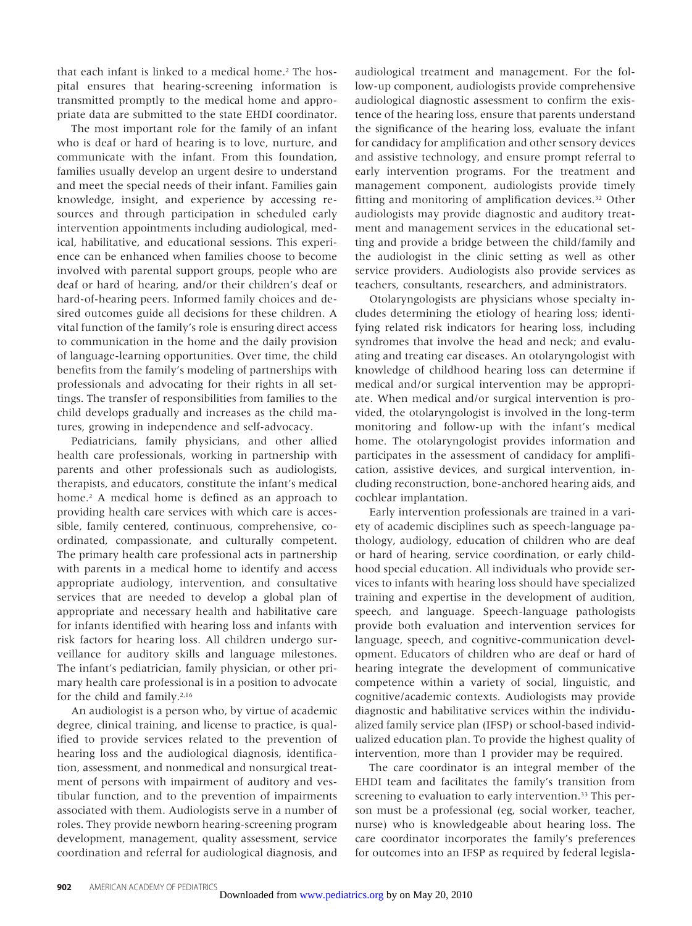that each infant is linked to a medical home.<sup>2</sup> The hospital ensures that hearing-screening information is transmitted promptly to the medical home and appropriate data are submitted to the state EHDI coordinator.

The most important role for the family of an infant who is deaf or hard of hearing is to love, nurture, and communicate with the infant. From this foundation, families usually develop an urgent desire to understand and meet the special needs of their infant. Families gain knowledge, insight, and experience by accessing resources and through participation in scheduled early intervention appointments including audiological, medical, habilitative, and educational sessions. This experience can be enhanced when families choose to become involved with parental support groups, people who are deaf or hard of hearing, and/or their children's deaf or hard-of-hearing peers. Informed family choices and desired outcomes guide all decisions for these children. A vital function of the family's role is ensuring direct access to communication in the home and the daily provision of language-learning opportunities. Over time, the child benefits from the family's modeling of partnerships with professionals and advocating for their rights in all settings. The transfer of responsibilities from families to the child develops gradually and increases as the child matures, growing in independence and self-advocacy.

Pediatricians, family physicians, and other allied health care professionals, working in partnership with parents and other professionals such as audiologists, therapists, and educators, constitute the infant's medical home.2 A medical home is defined as an approach to providing health care services with which care is accessible, family centered, continuous, comprehensive, coordinated, compassionate, and culturally competent. The primary health care professional acts in partnership with parents in a medical home to identify and access appropriate audiology, intervention, and consultative services that are needed to develop a global plan of appropriate and necessary health and habilitative care for infants identified with hearing loss and infants with risk factors for hearing loss. All children undergo surveillance for auditory skills and language milestones. The infant's pediatrician, family physician, or other primary health care professional is in a position to advocate for the child and family.2,16

An audiologist is a person who, by virtue of academic degree, clinical training, and license to practice, is qualified to provide services related to the prevention of hearing loss and the audiological diagnosis, identification, assessment, and nonmedical and nonsurgical treatment of persons with impairment of auditory and vestibular function, and to the prevention of impairments associated with them. Audiologists serve in a number of roles. They provide newborn hearing-screening program development, management, quality assessment, service coordination and referral for audiological diagnosis, and

audiological treatment and management. For the follow-up component, audiologists provide comprehensive audiological diagnostic assessment to confirm the existence of the hearing loss, ensure that parents understand the significance of the hearing loss, evaluate the infant for candidacy for amplification and other sensory devices and assistive technology, and ensure prompt referral to early intervention programs. For the treatment and management component, audiologists provide timely fitting and monitoring of amplification devices.<sup>32</sup> Other audiologists may provide diagnostic and auditory treatment and management services in the educational setting and provide a bridge between the child/family and the audiologist in the clinic setting as well as other service providers. Audiologists also provide services as teachers, consultants, researchers, and administrators.

Otolaryngologists are physicians whose specialty includes determining the etiology of hearing loss; identifying related risk indicators for hearing loss, including syndromes that involve the head and neck; and evaluating and treating ear diseases. An otolaryngologist with knowledge of childhood hearing loss can determine if medical and/or surgical intervention may be appropriate. When medical and/or surgical intervention is provided, the otolaryngologist is involved in the long-term monitoring and follow-up with the infant's medical home. The otolaryngologist provides information and participates in the assessment of candidacy for amplification, assistive devices, and surgical intervention, including reconstruction, bone-anchored hearing aids, and cochlear implantation.

Early intervention professionals are trained in a variety of academic disciplines such as speech-language pathology, audiology, education of children who are deaf or hard of hearing, service coordination, or early childhood special education. All individuals who provide services to infants with hearing loss should have specialized training and expertise in the development of audition, speech, and language. Speech-language pathologists provide both evaluation and intervention services for language, speech, and cognitive-communication development. Educators of children who are deaf or hard of hearing integrate the development of communicative competence within a variety of social, linguistic, and cognitive/academic contexts. Audiologists may provide diagnostic and habilitative services within the individualized family service plan (IFSP) or school-based individualized education plan. To provide the highest quality of intervention, more than 1 provider may be required.

The care coordinator is an integral member of the EHDI team and facilitates the family's transition from screening to evaluation to early intervention.<sup>33</sup> This person must be a professional (eg, social worker, teacher, nurse) who is knowledgeable about hearing loss. The care coordinator incorporates the family's preferences for outcomes into an IFSP as required by federal legisla-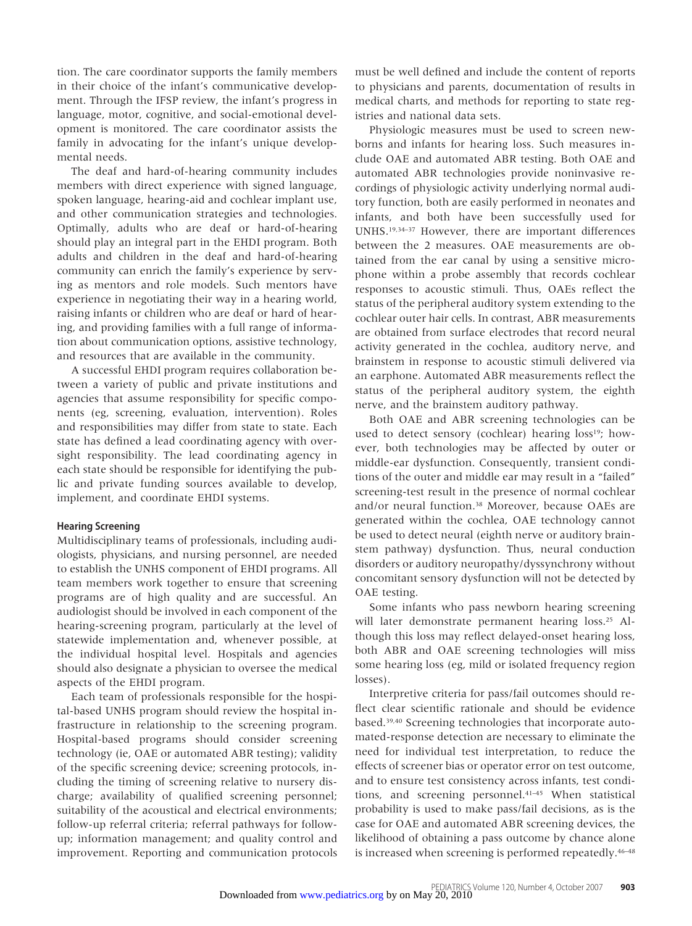tion. The care coordinator supports the family members in their choice of the infant's communicative development. Through the IFSP review, the infant's progress in language, motor, cognitive, and social-emotional development is monitored. The care coordinator assists the family in advocating for the infant's unique developmental needs.

The deaf and hard-of-hearing community includes members with direct experience with signed language, spoken language, hearing-aid and cochlear implant use, and other communication strategies and technologies. Optimally, adults who are deaf or hard-of-hearing should play an integral part in the EHDI program. Both adults and children in the deaf and hard-of-hearing community can enrich the family's experience by serving as mentors and role models. Such mentors have experience in negotiating their way in a hearing world, raising infants or children who are deaf or hard of hearing, and providing families with a full range of information about communication options, assistive technology, and resources that are available in the community.

A successful EHDI program requires collaboration between a variety of public and private institutions and agencies that assume responsibility for specific components (eg, screening, evaluation, intervention). Roles and responsibilities may differ from state to state. Each state has defined a lead coordinating agency with oversight responsibility. The lead coordinating agency in each state should be responsible for identifying the public and private funding sources available to develop, implement, and coordinate EHDI systems.

#### **Hearing Screening**

Multidisciplinary teams of professionals, including audiologists, physicians, and nursing personnel, are needed to establish the UNHS component of EHDI programs. All team members work together to ensure that screening programs are of high quality and are successful. An audiologist should be involved in each component of the hearing-screening program, particularly at the level of statewide implementation and, whenever possible, at the individual hospital level. Hospitals and agencies should also designate a physician to oversee the medical aspects of the EHDI program.

Each team of professionals responsible for the hospital-based UNHS program should review the hospital infrastructure in relationship to the screening program. Hospital-based programs should consider screening technology (ie, OAE or automated ABR testing); validity of the specific screening device; screening protocols, including the timing of screening relative to nursery discharge; availability of qualified screening personnel; suitability of the acoustical and electrical environments; follow-up referral criteria; referral pathways for followup; information management; and quality control and improvement. Reporting and communication protocols must be well defined and include the content of reports to physicians and parents, documentation of results in medical charts, and methods for reporting to state registries and national data sets.

Physiologic measures must be used to screen newborns and infants for hearing loss. Such measures include OAE and automated ABR testing. Both OAE and automated ABR technologies provide noninvasive recordings of physiologic activity underlying normal auditory function, both are easily performed in neonates and infants, and both have been successfully used for UNHS.19,34–37 However, there are important differences between the 2 measures. OAE measurements are obtained from the ear canal by using a sensitive microphone within a probe assembly that records cochlear responses to acoustic stimuli. Thus, OAEs reflect the status of the peripheral auditory system extending to the cochlear outer hair cells. In contrast, ABR measurements are obtained from surface electrodes that record neural activity generated in the cochlea, auditory nerve, and brainstem in response to acoustic stimuli delivered via an earphone. Automated ABR measurements reflect the status of the peripheral auditory system, the eighth nerve, and the brainstem auditory pathway.

Both OAE and ABR screening technologies can be used to detect sensory (cochlear) hearing loss<sup>19</sup>; however, both technologies may be affected by outer or middle-ear dysfunction. Consequently, transient conditions of the outer and middle ear may result in a "failed" screening-test result in the presence of normal cochlear and/or neural function.<sup>38</sup> Moreover, because OAEs are generated within the cochlea, OAE technology cannot be used to detect neural (eighth nerve or auditory brainstem pathway) dysfunction. Thus, neural conduction disorders or auditory neuropathy/dyssynchrony without concomitant sensory dysfunction will not be detected by OAE testing.

Some infants who pass newborn hearing screening will later demonstrate permanent hearing loss.<sup>25</sup> Although this loss may reflect delayed-onset hearing loss, both ABR and OAE screening technologies will miss some hearing loss (eg, mild or isolated frequency region losses).

Interpretive criteria for pass/fail outcomes should reflect clear scientific rationale and should be evidence based.39,40 Screening technologies that incorporate automated-response detection are necessary to eliminate the need for individual test interpretation, to reduce the effects of screener bias or operator error on test outcome, and to ensure test consistency across infants, test conditions, and screening personnel.<sup>41-45</sup> When statistical probability is used to make pass/fail decisions, as is the case for OAE and automated ABR screening devices, the likelihood of obtaining a pass outcome by chance alone is increased when screening is performed repeatedly.<sup>46-48</sup>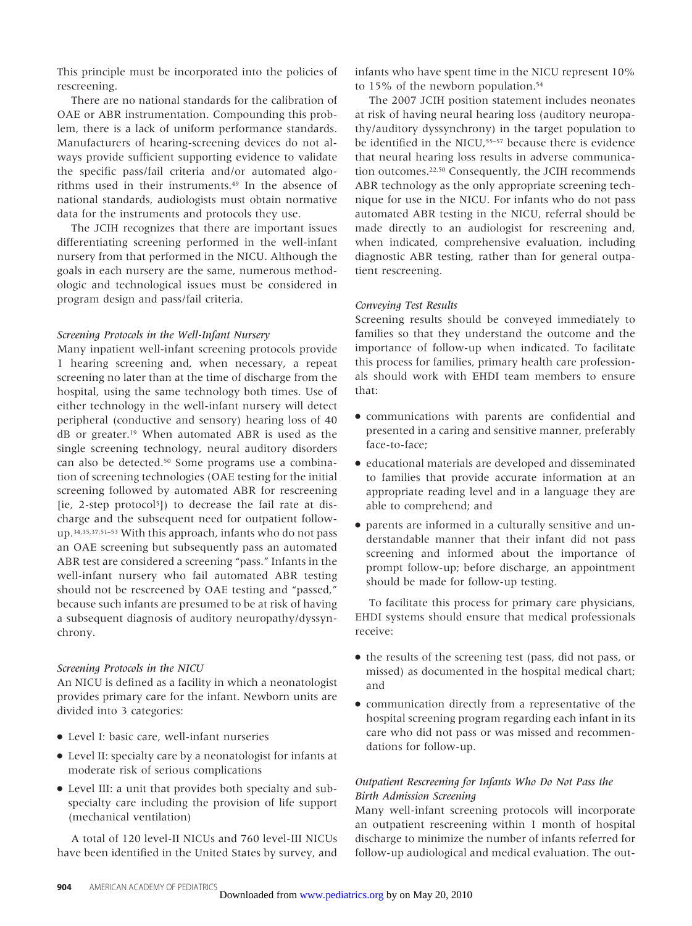This principle must be incorporated into the policies of rescreening.

There are no national standards for the calibration of OAE or ABR instrumentation. Compounding this problem, there is a lack of uniform performance standards. Manufacturers of hearing-screening devices do not always provide sufficient supporting evidence to validate the specific pass/fail criteria and/or automated algorithms used in their instruments.49 In the absence of national standards, audiologists must obtain normative data for the instruments and protocols they use.

The JCIH recognizes that there are important issues differentiating screening performed in the well-infant nursery from that performed in the NICU. Although the goals in each nursery are the same, numerous methodologic and technological issues must be considered in program design and pass/fail criteria.

#### *Screening Protocols in the Well-Infant Nursery*

Many inpatient well-infant screening protocols provide 1 hearing screening and, when necessary, a repeat screening no later than at the time of discharge from the hospital, using the same technology both times. Use of either technology in the well-infant nursery will detect peripheral (conductive and sensory) hearing loss of 40 dB or greater.19 When automated ABR is used as the single screening technology, neural auditory disorders can also be detected.50 Some programs use a combination of screening technologies (OAE testing for the initial screening followed by automated ABR for rescreening [ie, 2-step protocol<sup>5</sup>]) to decrease the fail rate at discharge and the subsequent need for outpatient followup.34,35,37,51–53 With this approach, infants who do not pass an OAE screening but subsequently pass an automated ABR test are considered a screening "pass." Infants in the well-infant nursery who fail automated ABR testing should not be rescreened by OAE testing and "passed," because such infants are presumed to be at risk of having a subsequent diagnosis of auditory neuropathy/dyssynchrony.

#### *Screening Protocols in the NICU*

An NICU is defined as a facility in which a neonatologist provides primary care for the infant. Newborn units are divided into 3 categories:

- Level I: basic care, well-infant nurseries
- Level II: specialty care by a neonatologist for infants at moderate risk of serious complications
- Level III: a unit that provides both specialty and subspecialty care including the provision of life support (mechanical ventilation)

A total of 120 level-II NICUs and 760 level-III NICUs have been identified in the United States by survey, and infants who have spent time in the NICU represent 10% to 15% of the newborn population.<sup>54</sup>

The 2007 JCIH position statement includes neonates at risk of having neural hearing loss (auditory neuropathy/auditory dyssynchrony) in the target population to be identified in the NICU,<sup>55-57</sup> because there is evidence that neural hearing loss results in adverse communication outcomes.22,50 Consequently, the JCIH recommends ABR technology as the only appropriate screening technique for use in the NICU. For infants who do not pass automated ABR testing in the NICU, referral should be made directly to an audiologist for rescreening and, when indicated, comprehensive evaluation, including diagnostic ABR testing, rather than for general outpatient rescreening.

#### *Conveying Test Results*

Screening results should be conveyed immediately to families so that they understand the outcome and the importance of follow-up when indicated. To facilitate this process for families, primary health care professionals should work with EHDI team members to ensure that:

- communications with parents are confidential and presented in a caring and sensitive manner, preferably face-to-face;
- educational materials are developed and disseminated to families that provide accurate information at an appropriate reading level and in a language they are able to comprehend; and
- parents are informed in a culturally sensitive and understandable manner that their infant did not pass screening and informed about the importance of prompt follow-up; before discharge, an appointment should be made for follow-up testing.

To facilitate this process for primary care physicians, EHDI systems should ensure that medical professionals receive:

- the results of the screening test (pass, did not pass, or missed) as documented in the hospital medical chart; and
- communication directly from a representative of the hospital screening program regarding each infant in its care who did not pass or was missed and recommendations for follow-up.

# *Outpatient Rescreening for Infants Who Do Not Pass the Birth Admission Screening*

Many well-infant screening protocols will incorporate an outpatient rescreening within 1 month of hospital discharge to minimize the number of infants referred for follow-up audiological and medical evaluation. The out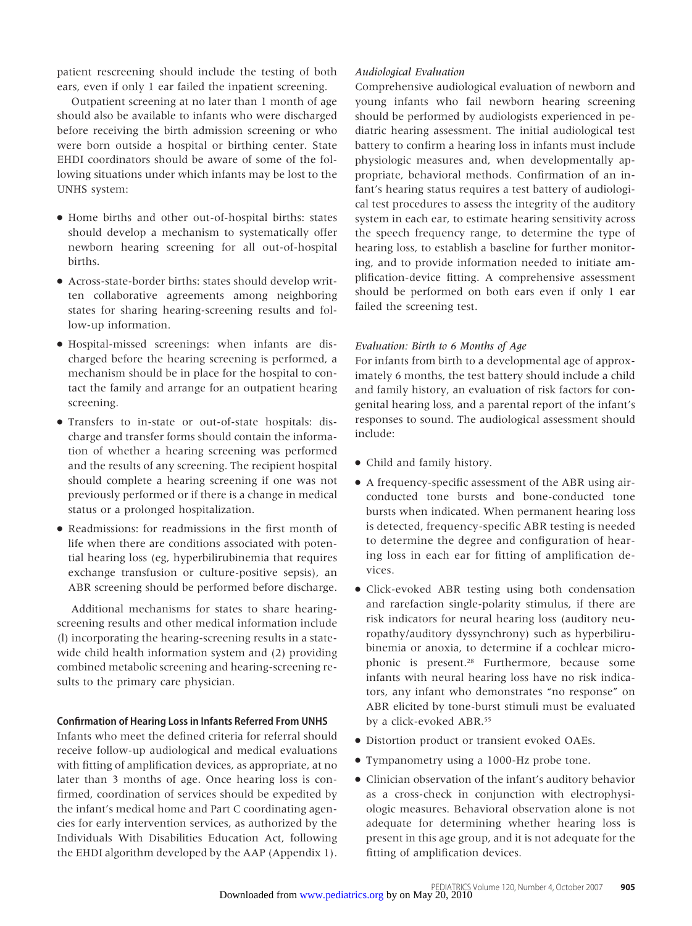patient rescreening should include the testing of both ears, even if only 1 ear failed the inpatient screening.

Outpatient screening at no later than 1 month of age should also be available to infants who were discharged before receiving the birth admission screening or who were born outside a hospital or birthing center. State EHDI coordinators should be aware of some of the following situations under which infants may be lost to the UNHS system:

- Home births and other out-of-hospital births: states should develop a mechanism to systematically offer newborn hearing screening for all out-of-hospital births.
- Across-state-border births: states should develop written collaborative agreements among neighboring states for sharing hearing-screening results and follow-up information.
- Hospital-missed screenings: when infants are discharged before the hearing screening is performed, a mechanism should be in place for the hospital to contact the family and arrange for an outpatient hearing screening.
- Transfers to in-state or out-of-state hospitals: discharge and transfer forms should contain the information of whether a hearing screening was performed and the results of any screening. The recipient hospital should complete a hearing screening if one was not previously performed or if there is a change in medical status or a prolonged hospitalization.
- Readmissions: for readmissions in the first month of life when there are conditions associated with potential hearing loss (eg, hyperbilirubinemia that requires exchange transfusion or culture-positive sepsis), an ABR screening should be performed before discharge.

Additional mechanisms for states to share hearingscreening results and other medical information include (l) incorporating the hearing-screening results in a statewide child health information system and (2) providing combined metabolic screening and hearing-screening results to the primary care physician.

#### **Confirmation of Hearing Loss in Infants Referred From UNHS**

Infants who meet the defined criteria for referral should receive follow-up audiological and medical evaluations with fitting of amplification devices, as appropriate, at no later than 3 months of age. Once hearing loss is confirmed, coordination of services should be expedited by the infant's medical home and Part C coordinating agencies for early intervention services, as authorized by the Individuals With Disabilities Education Act, following the EHDI algorithm developed by the AAP (Appendix 1).

# *Audiological Evaluation*

Comprehensive audiological evaluation of newborn and young infants who fail newborn hearing screening should be performed by audiologists experienced in pediatric hearing assessment. The initial audiological test battery to confirm a hearing loss in infants must include physiologic measures and, when developmentally appropriate, behavioral methods. Confirmation of an infant's hearing status requires a test battery of audiological test procedures to assess the integrity of the auditory system in each ear, to estimate hearing sensitivity across the speech frequency range, to determine the type of hearing loss, to establish a baseline for further monitoring, and to provide information needed to initiate amplification-device fitting. A comprehensive assessment should be performed on both ears even if only 1 ear failed the screening test.

#### *Evaluation: Birth to 6 Months of Age*

For infants from birth to a developmental age of approximately 6 months, the test battery should include a child and family history, an evaluation of risk factors for congenital hearing loss, and a parental report of the infant's responses to sound. The audiological assessment should include:

- Child and family history.
- A frequency-specific assessment of the ABR using airconducted tone bursts and bone-conducted tone bursts when indicated. When permanent hearing loss is detected, frequency-specific ABR testing is needed to determine the degree and configuration of hearing loss in each ear for fitting of amplification devices.
- Click-evoked ABR testing using both condensation and rarefaction single-polarity stimulus, if there are risk indicators for neural hearing loss (auditory neuropathy/auditory dyssynchrony) such as hyperbilirubinemia or anoxia, to determine if a cochlear microphonic is present.28 Furthermore, because some infants with neural hearing loss have no risk indicators, any infant who demonstrates "no response" on ABR elicited by tone-burst stimuli must be evaluated by a click-evoked ABR.<sup>55</sup>
- Distortion product or transient evoked OAEs.
- Tympanometry using a 1000-Hz probe tone.
- Clinician observation of the infant's auditory behavior as a cross-check in conjunction with electrophysiologic measures. Behavioral observation alone is not adequate for determining whether hearing loss is present in this age group, and it is not adequate for the fitting of amplification devices.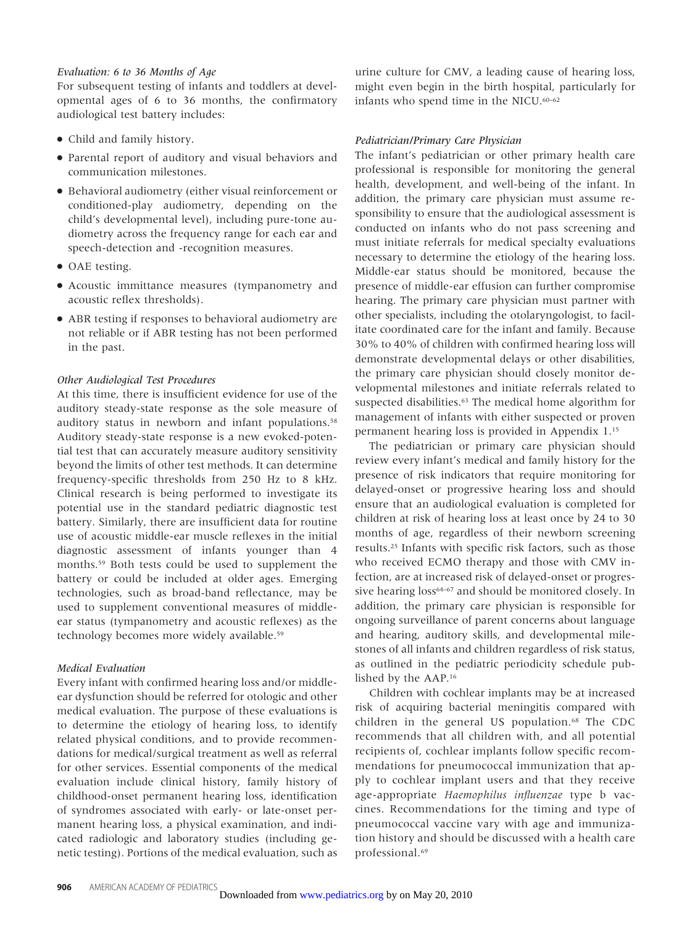# *Evaluation: 6 to 36 Months of Age*

For subsequent testing of infants and toddlers at developmental ages of 6 to 36 months, the confirmatory audiological test battery includes:

- Child and family history.
- Parental report of auditory and visual behaviors and communication milestones.
- Behavioral audiometry (either visual reinforcement or conditioned-play audiometry, depending on the child's developmental level), including pure-tone audiometry across the frequency range for each ear and speech-detection and -recognition measures.
- OAE testing.
- Acoustic immittance measures (tympanometry and acoustic reflex thresholds).
- ABR testing if responses to behavioral audiometry are not reliable or if ABR testing has not been performed in the past.

#### *Other Audiological Test Procedures*

At this time, there is insufficient evidence for use of the auditory steady-state response as the sole measure of auditory status in newborn and infant populations.<sup>58</sup> Auditory steady-state response is a new evoked-potential test that can accurately measure auditory sensitivity beyond the limits of other test methods. It can determine frequency-specific thresholds from 250 Hz to 8 kHz. Clinical research is being performed to investigate its potential use in the standard pediatric diagnostic test battery. Similarly, there are insufficient data for routine use of acoustic middle-ear muscle reflexes in the initial diagnostic assessment of infants younger than 4 months.59 Both tests could be used to supplement the battery or could be included at older ages. Emerging technologies, such as broad-band reflectance, may be used to supplement conventional measures of middleear status (tympanometry and acoustic reflexes) as the technology becomes more widely available.<sup>59</sup>

#### *Medical Evaluation*

Every infant with confirmed hearing loss and/or middleear dysfunction should be referred for otologic and other medical evaluation. The purpose of these evaluations is to determine the etiology of hearing loss, to identify related physical conditions, and to provide recommendations for medical/surgical treatment as well as referral for other services. Essential components of the medical evaluation include clinical history, family history of childhood-onset permanent hearing loss, identification of syndromes associated with early- or late-onset permanent hearing loss, a physical examination, and indicated radiologic and laboratory studies (including genetic testing). Portions of the medical evaluation, such as urine culture for CMV, a leading cause of hearing loss, might even begin in the birth hospital, particularly for infants who spend time in the NICU.<sup>60-62</sup>

# *Pediatrician/Primary Care Physician*

The infant's pediatrician or other primary health care professional is responsible for monitoring the general health, development, and well-being of the infant. In addition, the primary care physician must assume responsibility to ensure that the audiological assessment is conducted on infants who do not pass screening and must initiate referrals for medical specialty evaluations necessary to determine the etiology of the hearing loss. Middle-ear status should be monitored, because the presence of middle-ear effusion can further compromise hearing. The primary care physician must partner with other specialists, including the otolaryngologist, to facilitate coordinated care for the infant and family. Because 30% to 40% of children with confirmed hearing loss will demonstrate developmental delays or other disabilities, the primary care physician should closely monitor developmental milestones and initiate referrals related to suspected disabilities.<sup>63</sup> The medical home algorithm for management of infants with either suspected or proven permanent hearing loss is provided in Appendix 1.15

The pediatrician or primary care physician should review every infant's medical and family history for the presence of risk indicators that require monitoring for delayed-onset or progressive hearing loss and should ensure that an audiological evaluation is completed for children at risk of hearing loss at least once by 24 to 30 months of age, regardless of their newborn screening results.25 Infants with specific risk factors, such as those who received ECMO therapy and those with CMV infection, are at increased risk of delayed-onset or progressive hearing loss<sup>64-67</sup> and should be monitored closely. In addition, the primary care physician is responsible for ongoing surveillance of parent concerns about language and hearing, auditory skills, and developmental milestones of all infants and children regardless of risk status, as outlined in the pediatric periodicity schedule published by the AAP.16

Children with cochlear implants may be at increased risk of acquiring bacterial meningitis compared with children in the general US population.<sup>68</sup> The CDC recommends that all children with, and all potential recipients of, cochlear implants follow specific recommendations for pneumococcal immunization that apply to cochlear implant users and that they receive age-appropriate *Haemophilus influenzae* type b vaccines. Recommendations for the timing and type of pneumococcal vaccine vary with age and immunization history and should be discussed with a health care professional.69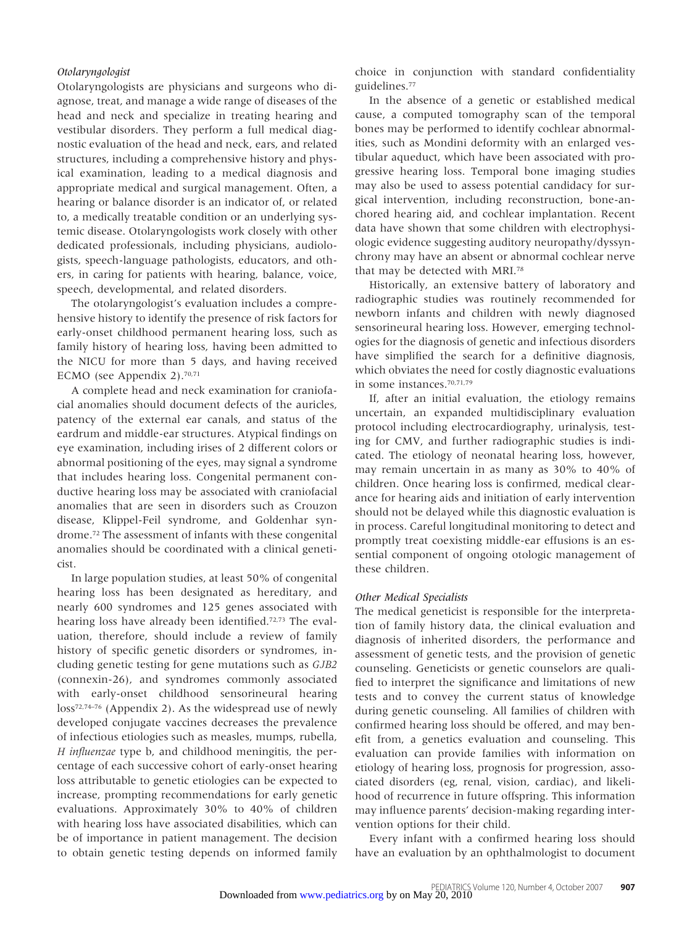#### *Otolaryngologist*

Otolaryngologists are physicians and surgeons who diagnose, treat, and manage a wide range of diseases of the head and neck and specialize in treating hearing and vestibular disorders. They perform a full medical diagnostic evaluation of the head and neck, ears, and related structures, including a comprehensive history and physical examination, leading to a medical diagnosis and appropriate medical and surgical management. Often, a hearing or balance disorder is an indicator of, or related to, a medically treatable condition or an underlying systemic disease. Otolaryngologists work closely with other dedicated professionals, including physicians, audiologists, speech-language pathologists, educators, and others, in caring for patients with hearing, balance, voice, speech, developmental, and related disorders.

The otolaryngologist's evaluation includes a comprehensive history to identify the presence of risk factors for early-onset childhood permanent hearing loss, such as family history of hearing loss, having been admitted to the NICU for more than 5 days, and having received ECMO (see Appendix 2).70,71

A complete head and neck examination for craniofacial anomalies should document defects of the auricles, patency of the external ear canals, and status of the eardrum and middle-ear structures. Atypical findings on eye examination, including irises of 2 different colors or abnormal positioning of the eyes, may signal a syndrome that includes hearing loss. Congenital permanent conductive hearing loss may be associated with craniofacial anomalies that are seen in disorders such as Crouzon disease, Klippel-Feil syndrome, and Goldenhar syndrome.72 The assessment of infants with these congenital anomalies should be coordinated with a clinical geneticist.

In large population studies, at least 50% of congenital hearing loss has been designated as hereditary, and nearly 600 syndromes and 125 genes associated with hearing loss have already been identified.<sup>72,73</sup> The evaluation, therefore, should include a review of family history of specific genetic disorders or syndromes, including genetic testing for gene mutations such as *GJB2* (connexin-26), and syndromes commonly associated with early-onset childhood sensorineural hearing loss72,74–76 (Appendix 2). As the widespread use of newly developed conjugate vaccines decreases the prevalence of infectious etiologies such as measles, mumps, rubella, *H influenzae* type b, and childhood meningitis, the percentage of each successive cohort of early-onset hearing loss attributable to genetic etiologies can be expected to increase, prompting recommendations for early genetic evaluations. Approximately 30% to 40% of children with hearing loss have associated disabilities, which can be of importance in patient management. The decision to obtain genetic testing depends on informed family choice in conjunction with standard confidentiality guidelines.77

In the absence of a genetic or established medical cause, a computed tomography scan of the temporal bones may be performed to identify cochlear abnormalities, such as Mondini deformity with an enlarged vestibular aqueduct, which have been associated with progressive hearing loss. Temporal bone imaging studies may also be used to assess potential candidacy for surgical intervention, including reconstruction, bone-anchored hearing aid, and cochlear implantation. Recent data have shown that some children with electrophysiologic evidence suggesting auditory neuropathy/dyssynchrony may have an absent or abnormal cochlear nerve that may be detected with MRI.78

Historically, an extensive battery of laboratory and radiographic studies was routinely recommended for newborn infants and children with newly diagnosed sensorineural hearing loss. However, emerging technologies for the diagnosis of genetic and infectious disorders have simplified the search for a definitive diagnosis, which obviates the need for costly diagnostic evaluations in some instances.70,71,79

If, after an initial evaluation, the etiology remains uncertain, an expanded multidisciplinary evaluation protocol including electrocardiography, urinalysis, testing for CMV, and further radiographic studies is indicated. The etiology of neonatal hearing loss, however, may remain uncertain in as many as 30% to 40% of children. Once hearing loss is confirmed, medical clearance for hearing aids and initiation of early intervention should not be delayed while this diagnostic evaluation is in process. Careful longitudinal monitoring to detect and promptly treat coexisting middle-ear effusions is an essential component of ongoing otologic management of these children.

#### *Other Medical Specialists*

The medical geneticist is responsible for the interpretation of family history data, the clinical evaluation and diagnosis of inherited disorders, the performance and assessment of genetic tests, and the provision of genetic counseling. Geneticists or genetic counselors are qualified to interpret the significance and limitations of new tests and to convey the current status of knowledge during genetic counseling. All families of children with confirmed hearing loss should be offered, and may benefit from, a genetics evaluation and counseling. This evaluation can provide families with information on etiology of hearing loss, prognosis for progression, associated disorders (eg, renal, vision, cardiac), and likelihood of recurrence in future offspring. This information may influence parents' decision-making regarding intervention options for their child.

Every infant with a confirmed hearing loss should have an evaluation by an ophthalmologist to document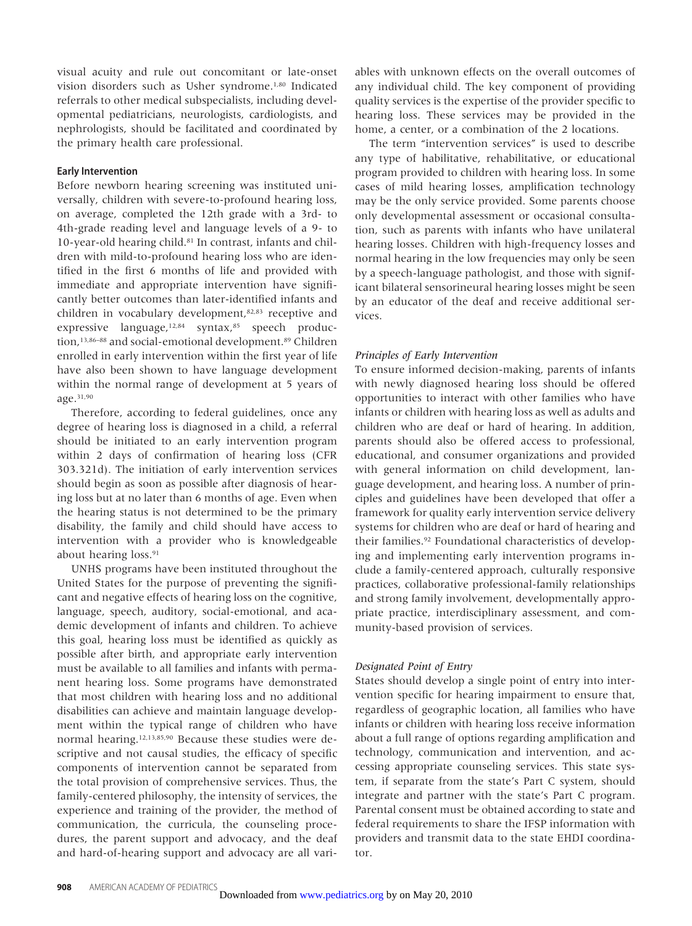visual acuity and rule out concomitant or late-onset vision disorders such as Usher syndrome.1,80 Indicated referrals to other medical subspecialists, including developmental pediatricians, neurologists, cardiologists, and nephrologists, should be facilitated and coordinated by the primary health care professional.

#### **Early Intervention**

Before newborn hearing screening was instituted universally, children with severe-to-profound hearing loss, on average, completed the 12th grade with a 3rd- to 4th-grade reading level and language levels of a 9- to 10-year-old hearing child.81 In contrast, infants and children with mild-to-profound hearing loss who are identified in the first 6 months of life and provided with immediate and appropriate intervention have significantly better outcomes than later-identified infants and children in vocabulary development,<sup>82,83</sup> receptive and expressive language,<sup>12,84</sup> syntax,<sup>85</sup> speech production,<sup>13,86-88</sup> and social-emotional development.<sup>89</sup> Children enrolled in early intervention within the first year of life have also been shown to have language development within the normal range of development at 5 years of age.31,90

Therefore, according to federal guidelines, once any degree of hearing loss is diagnosed in a child, a referral should be initiated to an early intervention program within 2 days of confirmation of hearing loss (CFR 303.321d). The initiation of early intervention services should begin as soon as possible after diagnosis of hearing loss but at no later than 6 months of age. Even when the hearing status is not determined to be the primary disability, the family and child should have access to intervention with a provider who is knowledgeable about hearing loss.91

UNHS programs have been instituted throughout the United States for the purpose of preventing the significant and negative effects of hearing loss on the cognitive, language, speech, auditory, social-emotional, and academic development of infants and children. To achieve this goal, hearing loss must be identified as quickly as possible after birth, and appropriate early intervention must be available to all families and infants with permanent hearing loss. Some programs have demonstrated that most children with hearing loss and no additional disabilities can achieve and maintain language development within the typical range of children who have normal hearing.12,13,85,90 Because these studies were descriptive and not causal studies, the efficacy of specific components of intervention cannot be separated from the total provision of comprehensive services. Thus, the family-centered philosophy, the intensity of services, the experience and training of the provider, the method of communication, the curricula, the counseling procedures, the parent support and advocacy, and the deaf and hard-of-hearing support and advocacy are all variables with unknown effects on the overall outcomes of any individual child. The key component of providing quality services is the expertise of the provider specific to hearing loss. These services may be provided in the home, a center, or a combination of the 2 locations.

The term "intervention services" is used to describe any type of habilitative, rehabilitative, or educational program provided to children with hearing loss. In some cases of mild hearing losses, amplification technology may be the only service provided. Some parents choose only developmental assessment or occasional consultation, such as parents with infants who have unilateral hearing losses. Children with high-frequency losses and normal hearing in the low frequencies may only be seen by a speech-language pathologist, and those with significant bilateral sensorineural hearing losses might be seen by an educator of the deaf and receive additional services.

# *Principles of Early Intervention*

To ensure informed decision-making, parents of infants with newly diagnosed hearing loss should be offered opportunities to interact with other families who have infants or children with hearing loss as well as adults and children who are deaf or hard of hearing. In addition, parents should also be offered access to professional, educational, and consumer organizations and provided with general information on child development, language development, and hearing loss. A number of principles and guidelines have been developed that offer a framework for quality early intervention service delivery systems for children who are deaf or hard of hearing and their families.<sup>92</sup> Foundational characteristics of developing and implementing early intervention programs include a family-centered approach, culturally responsive practices, collaborative professional-family relationships and strong family involvement, developmentally appropriate practice, interdisciplinary assessment, and community-based provision of services.

#### *Designated Point of Entry*

States should develop a single point of entry into intervention specific for hearing impairment to ensure that, regardless of geographic location, all families who have infants or children with hearing loss receive information about a full range of options regarding amplification and technology, communication and intervention, and accessing appropriate counseling services. This state system, if separate from the state's Part C system, should integrate and partner with the state's Part C program. Parental consent must be obtained according to state and federal requirements to share the IFSP information with providers and transmit data to the state EHDI coordinator.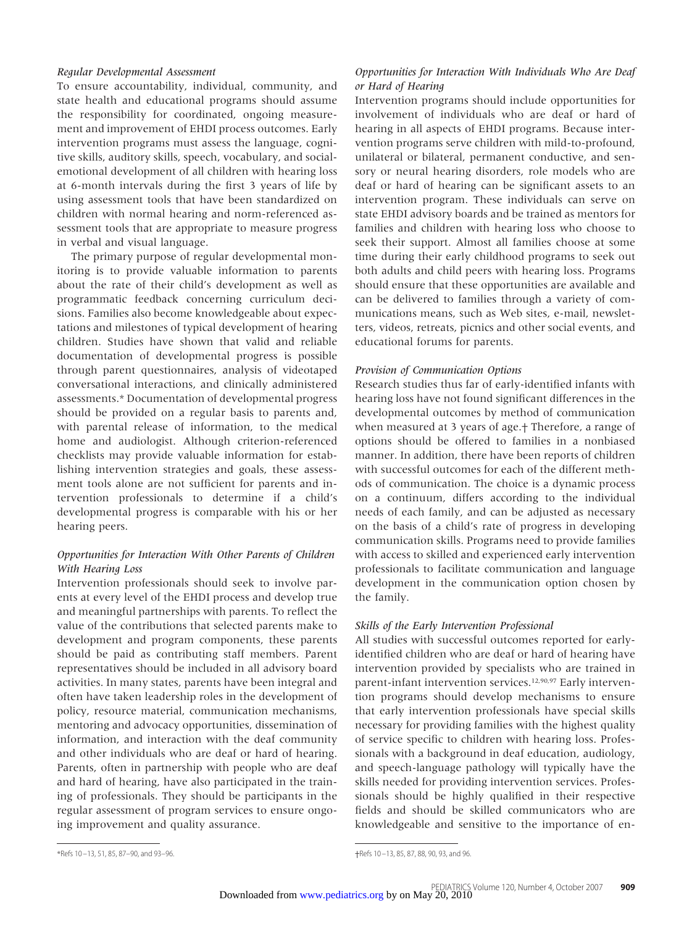# *Regular Developmental Assessment*

To ensure accountability, individual, community, and state health and educational programs should assume the responsibility for coordinated, ongoing measurement and improvement of EHDI process outcomes. Early intervention programs must assess the language, cognitive skills, auditory skills, speech, vocabulary, and socialemotional development of all children with hearing loss at 6-month intervals during the first 3 years of life by using assessment tools that have been standardized on children with normal hearing and norm-referenced assessment tools that are appropriate to measure progress in verbal and visual language.

The primary purpose of regular developmental monitoring is to provide valuable information to parents about the rate of their child's development as well as programmatic feedback concerning curriculum decisions. Families also become knowledgeable about expectations and milestones of typical development of hearing children. Studies have shown that valid and reliable documentation of developmental progress is possible through parent questionnaires, analysis of videotaped conversational interactions, and clinically administered assessments.\* Documentation of developmental progress should be provided on a regular basis to parents and, with parental release of information, to the medical home and audiologist. Although criterion-referenced checklists may provide valuable information for establishing intervention strategies and goals, these assessment tools alone are not sufficient for parents and intervention professionals to determine if a child's developmental progress is comparable with his or her hearing peers.

# *Opportunities for Interaction With Other Parents of Children With Hearing Loss*

Intervention professionals should seek to involve parents at every level of the EHDI process and develop true and meaningful partnerships with parents. To reflect the value of the contributions that selected parents make to development and program components, these parents should be paid as contributing staff members. Parent representatives should be included in all advisory board activities. In many states, parents have been integral and often have taken leadership roles in the development of policy, resource material, communication mechanisms, mentoring and advocacy opportunities, dissemination of information, and interaction with the deaf community and other individuals who are deaf or hard of hearing. Parents, often in partnership with people who are deaf and hard of hearing, have also participated in the training of professionals. They should be participants in the regular assessment of program services to ensure ongoing improvement and quality assurance.

# *Opportunities for Interaction With Individuals Who Are Deaf or Hard of Hearing*

Intervention programs should include opportunities for involvement of individuals who are deaf or hard of hearing in all aspects of EHDI programs. Because intervention programs serve children with mild-to-profound, unilateral or bilateral, permanent conductive, and sensory or neural hearing disorders, role models who are deaf or hard of hearing can be significant assets to an intervention program. These individuals can serve on state EHDI advisory boards and be trained as mentors for families and children with hearing loss who choose to seek their support. Almost all families choose at some time during their early childhood programs to seek out both adults and child peers with hearing loss. Programs should ensure that these opportunities are available and can be delivered to families through a variety of communications means, such as Web sites, e-mail, newsletters, videos, retreats, picnics and other social events, and educational forums for parents.

# *Provision of Communication Options*

Research studies thus far of early-identified infants with hearing loss have not found significant differences in the developmental outcomes by method of communication when measured at 3 years of age.† Therefore, a range of options should be offered to families in a nonbiased manner. In addition, there have been reports of children with successful outcomes for each of the different methods of communication. The choice is a dynamic process on a continuum, differs according to the individual needs of each family, and can be adjusted as necessary on the basis of a child's rate of progress in developing communication skills. Programs need to provide families with access to skilled and experienced early intervention professionals to facilitate communication and language development in the communication option chosen by the family.

#### *Skills of the Early Intervention Professional*

All studies with successful outcomes reported for earlyidentified children who are deaf or hard of hearing have intervention provided by specialists who are trained in parent-infant intervention services.<sup>12,90,97</sup> Early intervention programs should develop mechanisms to ensure that early intervention professionals have special skills necessary for providing families with the highest quality of service specific to children with hearing loss. Professionals with a background in deaf education, audiology, and speech-language pathology will typically have the skills needed for providing intervention services. Professionals should be highly qualified in their respective fields and should be skilled communicators who are knowledgeable and sensitive to the importance of en-

<sup>\*</sup>Refs 10 –13, 51, 85, 87–90, and 93–96. †Refs 10 –13, 85, 87, 88, 90, 93, and 96.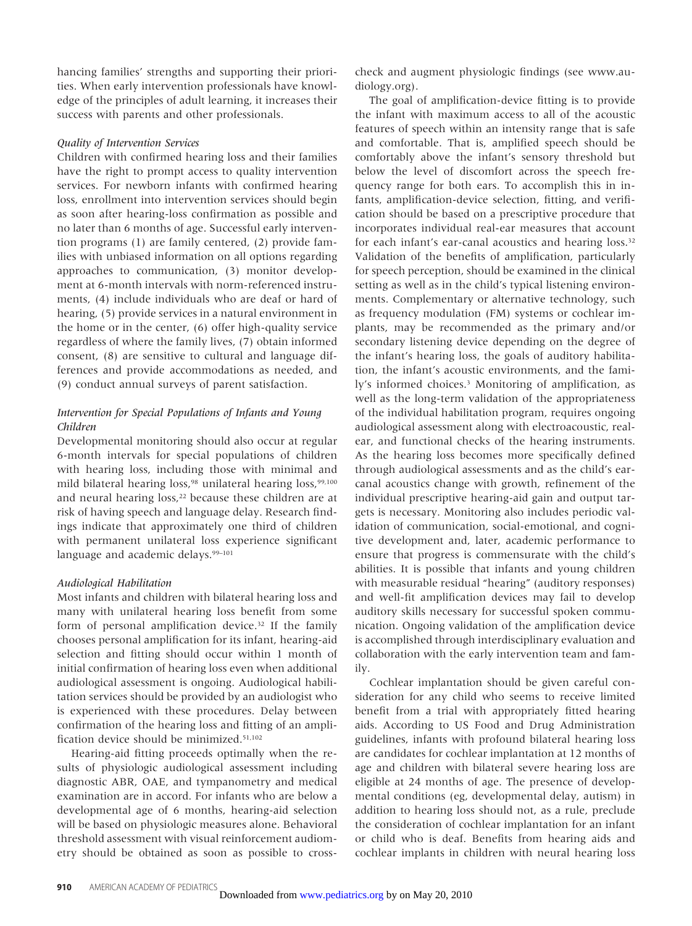hancing families' strengths and supporting their priorities. When early intervention professionals have knowledge of the principles of adult learning, it increases their success with parents and other professionals.

#### *Quality of Intervention Services*

Children with confirmed hearing loss and their families have the right to prompt access to quality intervention services. For newborn infants with confirmed hearing loss, enrollment into intervention services should begin as soon after hearing-loss confirmation as possible and no later than 6 months of age. Successful early intervention programs (1) are family centered, (2) provide families with unbiased information on all options regarding approaches to communication, (3) monitor development at 6-month intervals with norm-referenced instruments, (4) include individuals who are deaf or hard of hearing, (5) provide services in a natural environment in the home or in the center, (6) offer high-quality service regardless of where the family lives, (7) obtain informed consent, (8) are sensitive to cultural and language differences and provide accommodations as needed, and (9) conduct annual surveys of parent satisfaction.

# *Intervention for Special Populations of Infants and Young Children*

Developmental monitoring should also occur at regular 6-month intervals for special populations of children with hearing loss, including those with minimal and mild bilateral hearing loss,<sup>98</sup> unilateral hearing loss,<sup>99,100</sup> and neural hearing loss,<sup>22</sup> because these children are at risk of having speech and language delay. Research findings indicate that approximately one third of children with permanent unilateral loss experience significant language and academic delays.<sup>99-101</sup>

#### *Audiological Habilitation*

Most infants and children with bilateral hearing loss and many with unilateral hearing loss benefit from some form of personal amplification device.<sup>32</sup> If the family chooses personal amplification for its infant, hearing-aid selection and fitting should occur within 1 month of initial confirmation of hearing loss even when additional audiological assessment is ongoing. Audiological habilitation services should be provided by an audiologist who is experienced with these procedures. Delay between confirmation of the hearing loss and fitting of an amplification device should be minimized.51,102

Hearing-aid fitting proceeds optimally when the results of physiologic audiological assessment including diagnostic ABR, OAE, and tympanometry and medical examination are in accord. For infants who are below a developmental age of 6 months, hearing-aid selection will be based on physiologic measures alone. Behavioral threshold assessment with visual reinforcement audiometry should be obtained as soon as possible to crosscheck and augment physiologic findings (see www.audiology.org).

The goal of amplification-device fitting is to provide the infant with maximum access to all of the acoustic features of speech within an intensity range that is safe and comfortable. That is, amplified speech should be comfortably above the infant's sensory threshold but below the level of discomfort across the speech frequency range for both ears. To accomplish this in infants, amplification-device selection, fitting, and verification should be based on a prescriptive procedure that incorporates individual real-ear measures that account for each infant's ear-canal acoustics and hearing loss.<sup>32</sup> Validation of the benefits of amplification, particularly for speech perception, should be examined in the clinical setting as well as in the child's typical listening environments. Complementary or alternative technology, such as frequency modulation (FM) systems or cochlear implants, may be recommended as the primary and/or secondary listening device depending on the degree of the infant's hearing loss, the goals of auditory habilitation, the infant's acoustic environments, and the family's informed choices.3 Monitoring of amplification, as well as the long-term validation of the appropriateness of the individual habilitation program, requires ongoing audiological assessment along with electroacoustic, realear, and functional checks of the hearing instruments. As the hearing loss becomes more specifically defined through audiological assessments and as the child's earcanal acoustics change with growth, refinement of the individual prescriptive hearing-aid gain and output targets is necessary. Monitoring also includes periodic validation of communication, social-emotional, and cognitive development and, later, academic performance to ensure that progress is commensurate with the child's abilities. It is possible that infants and young children with measurable residual "hearing" (auditory responses) and well-fit amplification devices may fail to develop auditory skills necessary for successful spoken communication. Ongoing validation of the amplification device is accomplished through interdisciplinary evaluation and collaboration with the early intervention team and family.

Cochlear implantation should be given careful consideration for any child who seems to receive limited benefit from a trial with appropriately fitted hearing aids. According to US Food and Drug Administration guidelines, infants with profound bilateral hearing loss are candidates for cochlear implantation at 12 months of age and children with bilateral severe hearing loss are eligible at 24 months of age. The presence of developmental conditions (eg, developmental delay, autism) in addition to hearing loss should not, as a rule, preclude the consideration of cochlear implantation for an infant or child who is deaf. Benefits from hearing aids and cochlear implants in children with neural hearing loss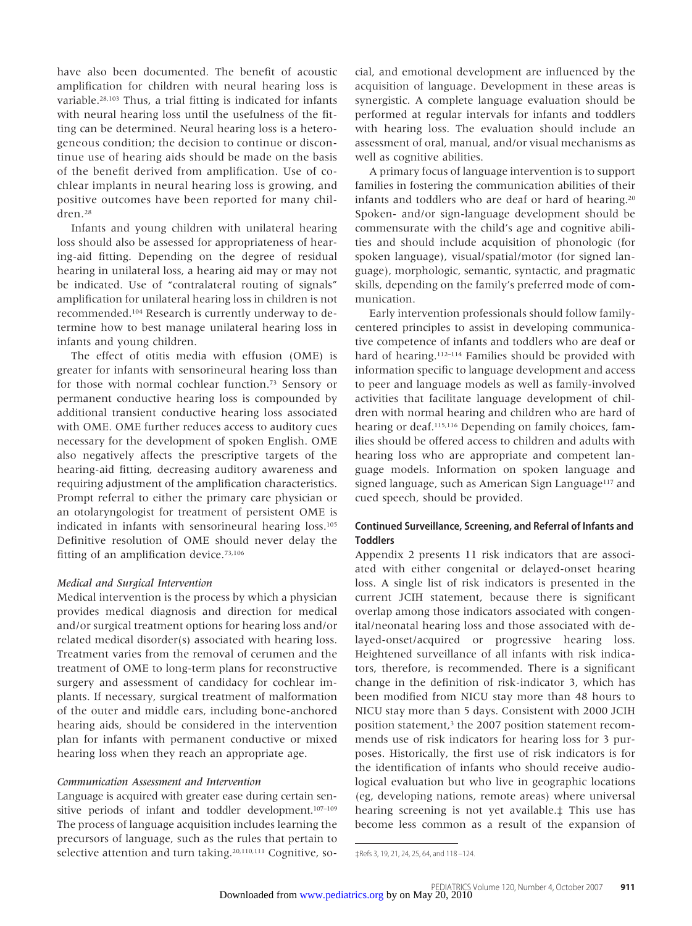have also been documented. The benefit of acoustic amplification for children with neural hearing loss is variable.28,103 Thus, a trial fitting is indicated for infants with neural hearing loss until the usefulness of the fitting can be determined. Neural hearing loss is a heterogeneous condition; the decision to continue or discontinue use of hearing aids should be made on the basis of the benefit derived from amplification. Use of cochlear implants in neural hearing loss is growing, and positive outcomes have been reported for many children.28

Infants and young children with unilateral hearing loss should also be assessed for appropriateness of hearing-aid fitting. Depending on the degree of residual hearing in unilateral loss, a hearing aid may or may not be indicated. Use of "contralateral routing of signals" amplification for unilateral hearing loss in children is not recommended.104 Research is currently underway to determine how to best manage unilateral hearing loss in infants and young children.

The effect of otitis media with effusion (OME) is greater for infants with sensorineural hearing loss than for those with normal cochlear function.73 Sensory or permanent conductive hearing loss is compounded by additional transient conductive hearing loss associated with OME. OME further reduces access to auditory cues necessary for the development of spoken English. OME also negatively affects the prescriptive targets of the hearing-aid fitting, decreasing auditory awareness and requiring adjustment of the amplification characteristics. Prompt referral to either the primary care physician or an otolaryngologist for treatment of persistent OME is indicated in infants with sensorineural hearing loss.105 Definitive resolution of OME should never delay the fitting of an amplification device.73,106

#### *Medical and Surgical Intervention*

Medical intervention is the process by which a physician provides medical diagnosis and direction for medical and/or surgical treatment options for hearing loss and/or related medical disorder(s) associated with hearing loss. Treatment varies from the removal of cerumen and the treatment of OME to long-term plans for reconstructive surgery and assessment of candidacy for cochlear implants. If necessary, surgical treatment of malformation of the outer and middle ears, including bone-anchored hearing aids, should be considered in the intervention plan for infants with permanent conductive or mixed hearing loss when they reach an appropriate age.

#### *Communication Assessment and Intervention*

Language is acquired with greater ease during certain sensitive periods of infant and toddler development.<sup>107-109</sup> The process of language acquisition includes learning the precursors of language, such as the rules that pertain to selective attention and turn taking.20,110,111 Cognitive, social, and emotional development are influenced by the acquisition of language. Development in these areas is synergistic. A complete language evaluation should be performed at regular intervals for infants and toddlers with hearing loss. The evaluation should include an assessment of oral, manual, and/or visual mechanisms as well as cognitive abilities.

A primary focus of language intervention is to support families in fostering the communication abilities of their infants and toddlers who are deaf or hard of hearing.20 Spoken- and/or sign-language development should be commensurate with the child's age and cognitive abilities and should include acquisition of phonologic (for spoken language), visual/spatial/motor (for signed language), morphologic, semantic, syntactic, and pragmatic skills, depending on the family's preferred mode of communication.

Early intervention professionals should follow familycentered principles to assist in developing communicative competence of infants and toddlers who are deaf or hard of hearing.<sup>112–114</sup> Families should be provided with information specific to language development and access to peer and language models as well as family-involved activities that facilitate language development of children with normal hearing and children who are hard of hearing or deaf.<sup>115,116</sup> Depending on family choices, families should be offered access to children and adults with hearing loss who are appropriate and competent language models. Information on spoken language and signed language, such as American Sign Language<sup>117</sup> and cued speech, should be provided.

# **Continued Surveillance, Screening, and Referral of Infants and Toddlers**

Appendix 2 presents 11 risk indicators that are associated with either congenital or delayed-onset hearing loss. A single list of risk indicators is presented in the current JCIH statement, because there is significant overlap among those indicators associated with congenital/neonatal hearing loss and those associated with delayed-onset/acquired or progressive hearing loss. Heightened surveillance of all infants with risk indicators, therefore, is recommended. There is a significant change in the definition of risk-indicator 3, which has been modified from NICU stay more than 48 hours to NICU stay more than 5 days. Consistent with 2000 JCIH position statement,<sup>3</sup> the 2007 position statement recommends use of risk indicators for hearing loss for 3 purposes. Historically, the first use of risk indicators is for the identification of infants who should receive audiological evaluation but who live in geographic locations (eg, developing nations, remote areas) where universal hearing screening is not yet available.‡ This use has become less common as a result of the expansion of

<sup>‡</sup>Refs 3, 19, 21, 24, 25, 64, and 118 –124.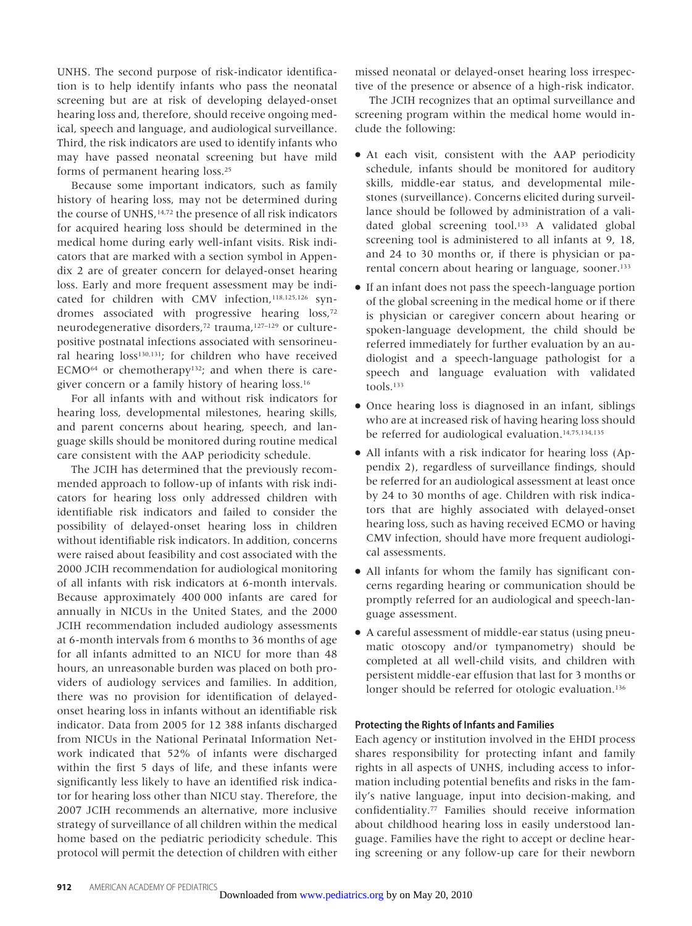UNHS. The second purpose of risk-indicator identification is to help identify infants who pass the neonatal screening but are at risk of developing delayed-onset hearing loss and, therefore, should receive ongoing medical, speech and language, and audiological surveillance. Third, the risk indicators are used to identify infants who may have passed neonatal screening but have mild forms of permanent hearing loss.25

Because some important indicators, such as family history of hearing loss, may not be determined during the course of UNHS,<sup>14,72</sup> the presence of all risk indicators for acquired hearing loss should be determined in the medical home during early well-infant visits. Risk indicators that are marked with a section symbol in Appendix 2 are of greater concern for delayed-onset hearing loss. Early and more frequent assessment may be indicated for children with CMV infection,<sup>118,125,126</sup> syndromes associated with progressive hearing loss,<sup>72</sup> neurodegenerative disorders,<sup>72</sup> trauma,<sup>127-129</sup> or culturepositive postnatal infections associated with sensorineural hearing loss<sup>130,131</sup>; for children who have received  $ECMO<sup>64</sup>$  or chemotherapy<sup>132</sup>; and when there is caregiver concern or a family history of hearing loss.16

For all infants with and without risk indicators for hearing loss, developmental milestones, hearing skills, and parent concerns about hearing, speech, and language skills should be monitored during routine medical care consistent with the AAP periodicity schedule.

The JCIH has determined that the previously recommended approach to follow-up of infants with risk indicators for hearing loss only addressed children with identifiable risk indicators and failed to consider the possibility of delayed-onset hearing loss in children without identifiable risk indicators. In addition, concerns were raised about feasibility and cost associated with the 2000 JCIH recommendation for audiological monitoring of all infants with risk indicators at 6-month intervals. Because approximately 400 000 infants are cared for annually in NICUs in the United States, and the 2000 JCIH recommendation included audiology assessments at 6-month intervals from 6 months to 36 months of age for all infants admitted to an NICU for more than 48 hours, an unreasonable burden was placed on both providers of audiology services and families. In addition, there was no provision for identification of delayedonset hearing loss in infants without an identifiable risk indicator. Data from 2005 for 12 388 infants discharged from NICUs in the National Perinatal Information Network indicated that 52% of infants were discharged within the first 5 days of life, and these infants were significantly less likely to have an identified risk indicator for hearing loss other than NICU stay. Therefore, the 2007 JCIH recommends an alternative, more inclusive strategy of surveillance of all children within the medical home based on the pediatric periodicity schedule. This protocol will permit the detection of children with either

missed neonatal or delayed-onset hearing loss irrespective of the presence or absence of a high-risk indicator.

The JCIH recognizes that an optimal surveillance and screening program within the medical home would include the following:

- At each visit, consistent with the AAP periodicity schedule, infants should be monitored for auditory skills, middle-ear status, and developmental milestones (surveillance). Concerns elicited during surveillance should be followed by administration of a validated global screening tool.<sup>133</sup> A validated global screening tool is administered to all infants at 9, 18, and 24 to 30 months or, if there is physician or parental concern about hearing or language, sooner.<sup>133</sup>
- If an infant does not pass the speech-language portion of the global screening in the medical home or if there is physician or caregiver concern about hearing or spoken-language development, the child should be referred immediately for further evaluation by an audiologist and a speech-language pathologist for a speech and language evaluation with validated tools.133
- Once hearing loss is diagnosed in an infant, siblings who are at increased risk of having hearing loss should be referred for audiological evaluation.<sup>14,75,134,135</sup>
- All infants with a risk indicator for hearing loss (Appendix 2), regardless of surveillance findings, should be referred for an audiological assessment at least once by 24 to 30 months of age. Children with risk indicators that are highly associated with delayed-onset hearing loss, such as having received ECMO or having CMV infection, should have more frequent audiological assessments.
- All infants for whom the family has significant concerns regarding hearing or communication should be promptly referred for an audiological and speech-language assessment.
- A careful assessment of middle-ear status (using pneumatic otoscopy and/or tympanometry) should be completed at all well-child visits, and children with persistent middle-ear effusion that last for 3 months or longer should be referred for otologic evaluation.<sup>136</sup>

#### **Protecting the Rights of Infants and Families**

Each agency or institution involved in the EHDI process shares responsibility for protecting infant and family rights in all aspects of UNHS, including access to information including potential benefits and risks in the family's native language, input into decision-making, and confidentiality.77 Families should receive information about childhood hearing loss in easily understood language. Families have the right to accept or decline hearing screening or any follow-up care for their newborn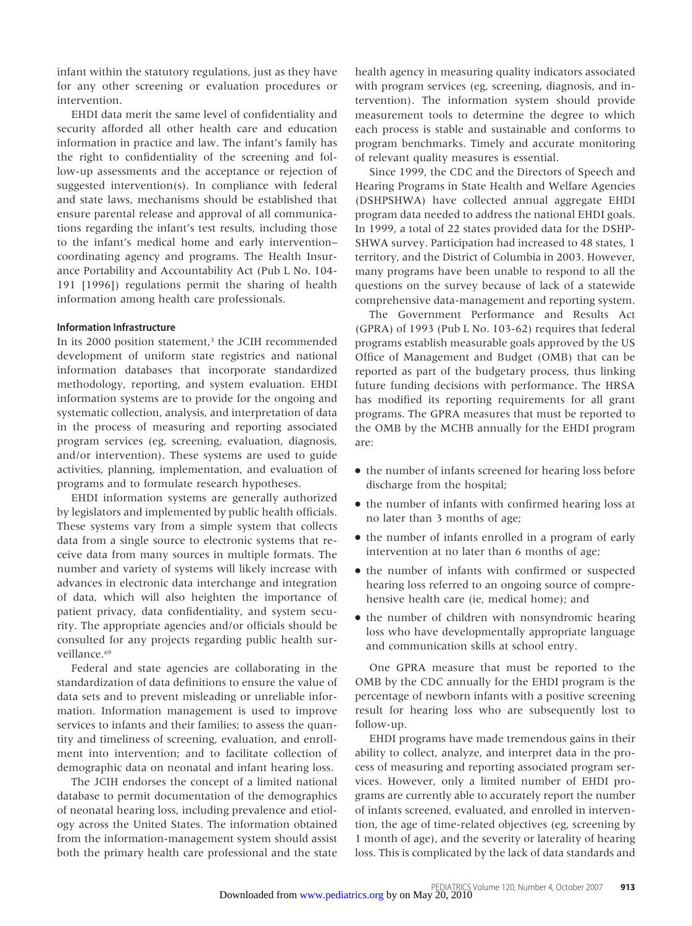infant within the statutory regulations, just as they have for any other screening or evaluation procedures or intervention.

EHDI data merit the same level of confidentiality and security afforded all other health care and education information in practice and law. The infant's family has the right to confidentiality of the screening and follow-up assessments and the acceptance or rejection of suggested intervention(s). In compliance with federal and state laws, mechanisms should be established that ensure parental release and approval of all communications regarding the infant's test results, including those to the infant's medical home and early intervention– coordinating agency and programs. The Health Insurance Portability and Accountability Act (Pub L No. 104- 191 [1996]) regulations permit the sharing of health information among health care professionals.

#### **Information Infrastructure**

In its 2000 position statement,<sup>3</sup> the JCIH recommended development of uniform state registries and national information databases that incorporate standardized methodology, reporting, and system evaluation. EHDI information systems are to provide for the ongoing and systematic collection, analysis, and interpretation of data in the process of measuring and reporting associated program services (eg, screening, evaluation, diagnosis, and/or intervention). These systems are used to guide activities, planning, implementation, and evaluation of programs and to formulate research hypotheses.

EHDI information systems are generally authorized by legislators and implemented by public health officials. These systems vary from a simple system that collects data from a single source to electronic systems that receive data from many sources in multiple formats. The number and variety of systems will likely increase with advances in electronic data interchange and integration of data, which will also heighten the importance of patient privacy, data confidentiality, and system security. The appropriate agencies and/or officials should be consulted for any projects regarding public health surveillance.<sup>69</sup>

Federal and state agencies are collaborating in the standardization of data definitions to ensure the value of data sets and to prevent misleading or unreliable information. Information management is used to improve services to infants and their families; to assess the quantity and timeliness of screening, evaluation, and enrollment into intervention; and to facilitate collection of demographic data on neonatal and infant hearing loss.

The JCIH endorses the concept of a limited national database to permit documentation of the demographics of neonatal hearing loss, including prevalence and etiology across the United States. The information obtained from the information-management system should assist both the primary health care professional and the state

health agency in measuring quality indicators associated with program services (eg, screening, diagnosis, and intervention). The information system should provide measurement tools to determine the degree to which each process is stable and sustainable and conforms to program benchmarks. Timely and accurate monitoring of relevant quality measures is essential.

Since 1999, the CDC and the Directors of Speech and Hearing Programs in State Health and Welfare Agencies (DSHPSHWA) have collected annual aggregate EHDI program data needed to address the national EHDI goals. In 1999, a total of 22 states provided data for the DSHP-SHWA survey. Participation had increased to 48 states, 1 territory, and the District of Columbia in 2003. However, many programs have been unable to respond to all the questions on the survey because of lack of a statewide comprehensive data-management and reporting system.

The Government Performance and Results Act (GPRA) of 1993 (Pub L No. 103-62) requires that federal programs establish measurable goals approved by the US Office of Management and Budget (OMB) that can be reported as part of the budgetary process, thus linking future funding decisions with performance. The HRSA has modified its reporting requirements for all grant programs. The GPRA measures that must be reported to the OMB by the MCHB annually for the EHDI program are:

- the number of infants screened for hearing loss before discharge from the hospital;
- the number of infants with confirmed hearing loss at no later than 3 months of age;
- the number of infants enrolled in a program of early intervention at no later than 6 months of age;
- the number of infants with confirmed or suspected hearing loss referred to an ongoing source of comprehensive health care (ie, medical home); and
- the number of children with nonsyndromic hearing loss who have developmentally appropriate language and communication skills at school entry.

One GPRA measure that must be reported to the OMB by the CDC annually for the EHDI program is the percentage of newborn infants with a positive screening result for hearing loss who are subsequently lost to follow-up.

EHDI programs have made tremendous gains in their ability to collect, analyze, and interpret data in the process of measuring and reporting associated program services. However, only a limited number of EHDI programs are currently able to accurately report the number of infants screened, evaluated, and enrolled in intervention, the age of time-related objectives (eg, screening by 1 month of age), and the severity or laterality of hearing loss. This is complicated by the lack of data standards and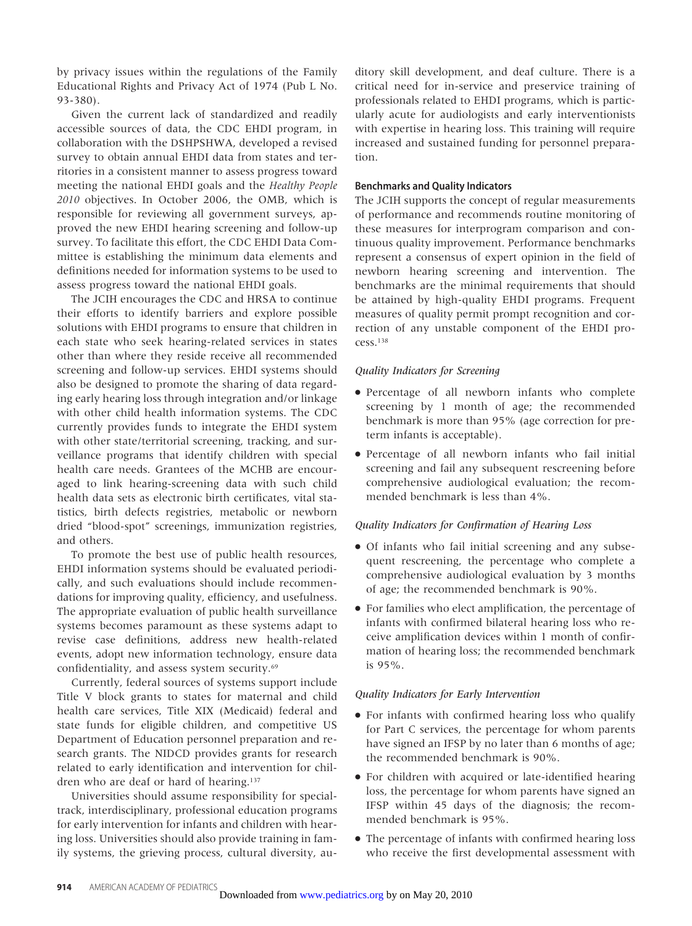by privacy issues within the regulations of the Family Educational Rights and Privacy Act of 1974 (Pub L No. 93-380).

Given the current lack of standardized and readily accessible sources of data, the CDC EHDI program, in collaboration with the DSHPSHWA, developed a revised survey to obtain annual EHDI data from states and territories in a consistent manner to assess progress toward meeting the national EHDI goals and the *Healthy People 2010* objectives. In October 2006, the OMB, which is responsible for reviewing all government surveys, approved the new EHDI hearing screening and follow-up survey. To facilitate this effort, the CDC EHDI Data Committee is establishing the minimum data elements and definitions needed for information systems to be used to assess progress toward the national EHDI goals.

The JCIH encourages the CDC and HRSA to continue their efforts to identify barriers and explore possible solutions with EHDI programs to ensure that children in each state who seek hearing-related services in states other than where they reside receive all recommended screening and follow-up services. EHDI systems should also be designed to promote the sharing of data regarding early hearing loss through integration and/or linkage with other child health information systems. The CDC currently provides funds to integrate the EHDI system with other state/territorial screening, tracking, and surveillance programs that identify children with special health care needs. Grantees of the MCHB are encouraged to link hearing-screening data with such child health data sets as electronic birth certificates, vital statistics, birth defects registries, metabolic or newborn dried "blood-spot" screenings, immunization registries, and others.

To promote the best use of public health resources, EHDI information systems should be evaluated periodically, and such evaluations should include recommendations for improving quality, efficiency, and usefulness. The appropriate evaluation of public health surveillance systems becomes paramount as these systems adapt to revise case definitions, address new health-related events, adopt new information technology, ensure data confidentiality, and assess system security.69

Currently, federal sources of systems support include Title V block grants to states for maternal and child health care services, Title XIX (Medicaid) federal and state funds for eligible children, and competitive US Department of Education personnel preparation and research grants. The NIDCD provides grants for research related to early identification and intervention for children who are deaf or hard of hearing.137

Universities should assume responsibility for specialtrack, interdisciplinary, professional education programs for early intervention for infants and children with hearing loss. Universities should also provide training in family systems, the grieving process, cultural diversity, auditory skill development, and deaf culture. There is a critical need for in-service and preservice training of professionals related to EHDI programs, which is particularly acute for audiologists and early interventionists with expertise in hearing loss. This training will require increased and sustained funding for personnel preparation.

#### **Benchmarks and Quality Indicators**

The JCIH supports the concept of regular measurements of performance and recommends routine monitoring of these measures for interprogram comparison and continuous quality improvement. Performance benchmarks represent a consensus of expert opinion in the field of newborn hearing screening and intervention. The benchmarks are the minimal requirements that should be attained by high-quality EHDI programs. Frequent measures of quality permit prompt recognition and correction of any unstable component of the EHDI process.138

#### *Quality Indicators for Screening*

- Percentage of all newborn infants who complete screening by 1 month of age; the recommended benchmark is more than 95% (age correction for preterm infants is acceptable).
- Percentage of all newborn infants who fail initial screening and fail any subsequent rescreening before comprehensive audiological evaluation; the recommended benchmark is less than 4%.

#### *Quality Indicators for Confirmation of Hearing Loss*

- Of infants who fail initial screening and any subsequent rescreening, the percentage who complete a comprehensive audiological evaluation by 3 months of age; the recommended benchmark is 90%.
- For families who elect amplification, the percentage of infants with confirmed bilateral hearing loss who receive amplification devices within 1 month of confirmation of hearing loss; the recommended benchmark is 95%.

#### *Quality Indicators for Early Intervention*

- For infants with confirmed hearing loss who qualify for Part C services, the percentage for whom parents have signed an IFSP by no later than 6 months of age; the recommended benchmark is 90%.
- For children with acquired or late-identified hearing loss, the percentage for whom parents have signed an IFSP within 45 days of the diagnosis; the recommended benchmark is 95%.
- The percentage of infants with confirmed hearing loss who receive the first developmental assessment with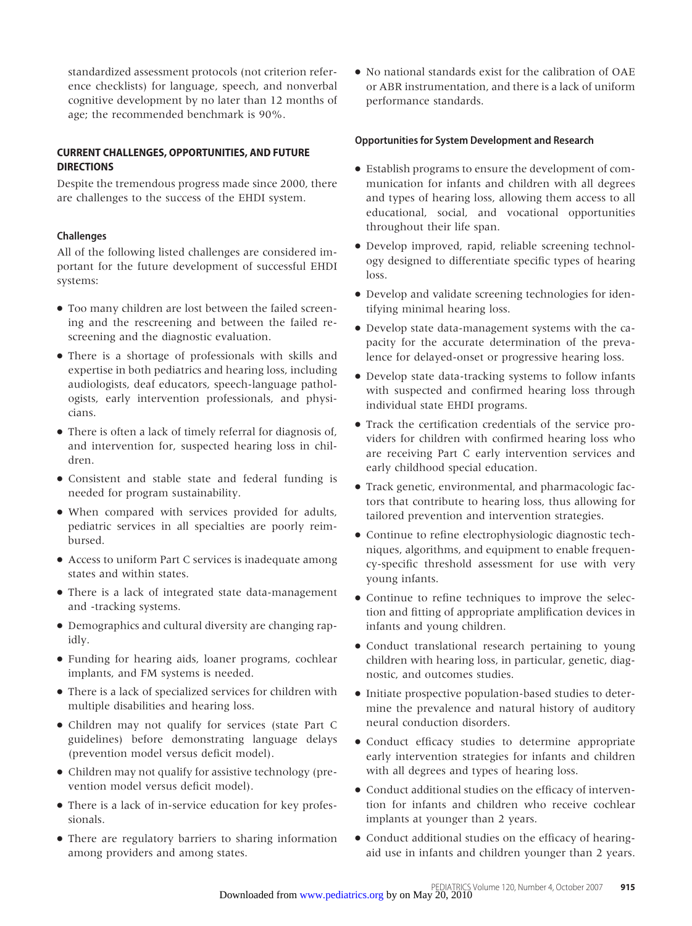standardized assessment protocols (not criterion reference checklists) for language, speech, and nonverbal cognitive development by no later than 12 months of age; the recommended benchmark is 90%.

# **CURRENT CHALLENGES, OPPORTUNITIES, AND FUTURE DIRECTIONS**

Despite the tremendous progress made since 2000, there are challenges to the success of the EHDI system.

# **Challenges**

All of the following listed challenges are considered important for the future development of successful EHDI systems:

- Too many children are lost between the failed screening and the rescreening and between the failed rescreening and the diagnostic evaluation.
- There is a shortage of professionals with skills and expertise in both pediatrics and hearing loss, including audiologists, deaf educators, speech-language pathologists, early intervention professionals, and physicians.
- There is often a lack of timely referral for diagnosis of, and intervention for, suspected hearing loss in children.
- Consistent and stable state and federal funding is needed for program sustainability.
- When compared with services provided for adults, pediatric services in all specialties are poorly reimbursed.
- Access to uniform Part C services is inadequate among states and within states.
- There is a lack of integrated state data-management and -tracking systems.
- Demographics and cultural diversity are changing rapidly.
- Funding for hearing aids, loaner programs, cochlear implants, and FM systems is needed.
- There is a lack of specialized services for children with multiple disabilities and hearing loss.
- Children may not qualify for services (state Part C guidelines) before demonstrating language delays (prevention model versus deficit model).
- Children may not qualify for assistive technology (prevention model versus deficit model).
- There is a lack of in-service education for key professionals.
- There are regulatory barriers to sharing information among providers and among states.

● No national standards exist for the calibration of OAE or ABR instrumentation, and there is a lack of uniform performance standards.

# **Opportunities for System Development and Research**

- Establish programs to ensure the development of communication for infants and children with all degrees and types of hearing loss, allowing them access to all educational, social, and vocational opportunities throughout their life span.
- Develop improved, rapid, reliable screening technology designed to differentiate specific types of hearing loss.
- Develop and validate screening technologies for identifying minimal hearing loss.
- Develop state data-management systems with the capacity for the accurate determination of the prevalence for delayed-onset or progressive hearing loss.
- Develop state data-tracking systems to follow infants with suspected and confirmed hearing loss through individual state EHDI programs.
- Track the certification credentials of the service providers for children with confirmed hearing loss who are receiving Part C early intervention services and early childhood special education.
- Track genetic, environmental, and pharmacologic factors that contribute to hearing loss, thus allowing for tailored prevention and intervention strategies.
- Continue to refine electrophysiologic diagnostic techniques, algorithms, and equipment to enable frequency-specific threshold assessment for use with very young infants.
- Continue to refine techniques to improve the selection and fitting of appropriate amplification devices in infants and young children.
- Conduct translational research pertaining to young children with hearing loss, in particular, genetic, diagnostic, and outcomes studies.
- Initiate prospective population-based studies to determine the prevalence and natural history of auditory neural conduction disorders.
- Conduct efficacy studies to determine appropriate early intervention strategies for infants and children with all degrees and types of hearing loss.
- Conduct additional studies on the efficacy of intervention for infants and children who receive cochlear implants at younger than 2 years.
- Conduct additional studies on the efficacy of hearingaid use in infants and children younger than 2 years.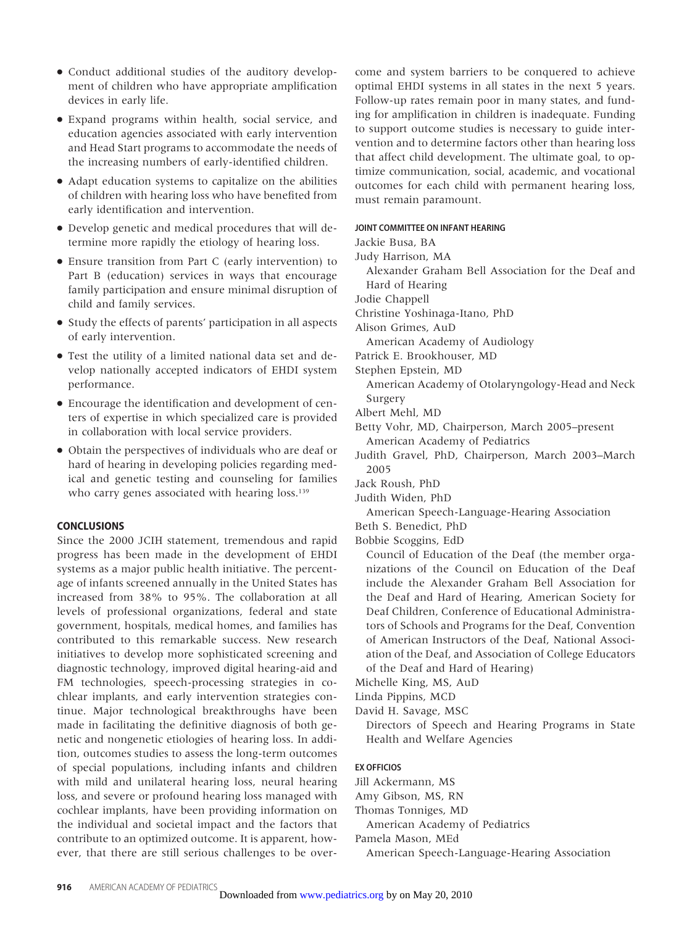- Conduct additional studies of the auditory development of children who have appropriate amplification devices in early life.
- Expand programs within health, social service, and education agencies associated with early intervention and Head Start programs to accommodate the needs of the increasing numbers of early-identified children.
- Adapt education systems to capitalize on the abilities of children with hearing loss who have benefited from early identification and intervention.
- Develop genetic and medical procedures that will determine more rapidly the etiology of hearing loss.
- Ensure transition from Part C (early intervention) to Part B (education) services in ways that encourage family participation and ensure minimal disruption of child and family services.
- Study the effects of parents' participation in all aspects of early intervention.
- Test the utility of a limited national data set and develop nationally accepted indicators of EHDI system performance.
- Encourage the identification and development of centers of expertise in which specialized care is provided in collaboration with local service providers.
- Obtain the perspectives of individuals who are deaf or hard of hearing in developing policies regarding medical and genetic testing and counseling for families who carry genes associated with hearing loss.<sup>139</sup>

#### **CONCLUSIONS**

Since the 2000 JCIH statement, tremendous and rapid progress has been made in the development of EHDI systems as a major public health initiative. The percentage of infants screened annually in the United States has increased from 38% to 95%. The collaboration at all levels of professional organizations, federal and state government, hospitals, medical homes, and families has contributed to this remarkable success. New research initiatives to develop more sophisticated screening and diagnostic technology, improved digital hearing-aid and FM technologies, speech-processing strategies in cochlear implants, and early intervention strategies continue. Major technological breakthroughs have been made in facilitating the definitive diagnosis of both genetic and nongenetic etiologies of hearing loss. In addition, outcomes studies to assess the long-term outcomes of special populations, including infants and children with mild and unilateral hearing loss, neural hearing loss, and severe or profound hearing loss managed with cochlear implants, have been providing information on the individual and societal impact and the factors that contribute to an optimized outcome. It is apparent, however, that there are still serious challenges to be overcome and system barriers to be conquered to achieve optimal EHDI systems in all states in the next 5 years. Follow-up rates remain poor in many states, and funding for amplification in children is inadequate. Funding to support outcome studies is necessary to guide intervention and to determine factors other than hearing loss that affect child development. The ultimate goal, to optimize communication, social, academic, and vocational outcomes for each child with permanent hearing loss, must remain paramount.

#### **JOINT COMMITTEE ON INFANT HEARING**

Jackie Busa, BA

- Judy Harrison, MA
- Alexander Graham Bell Association for the Deaf and Hard of Hearing

Jodie Chappell

- Christine Yoshinaga-Itano, PhD
- Alison Grimes, AuD
- American Academy of Audiology

Patrick E. Brookhouser, MD

Stephen Epstein, MD

- American Academy of Otolaryngology-Head and Neck Surgery
- Albert Mehl, MD
- Betty Vohr, MD, Chairperson, March 2005–present American Academy of Pediatrics
- Judith Gravel, PhD, Chairperson, March 2003–March 2005
- Jack Roush, PhD
- Judith Widen, PhD
	- American Speech-Language-Hearing Association
- Beth S. Benedict, PhD
- Bobbie Scoggins, EdD
- Council of Education of the Deaf (the member organizations of the Council on Education of the Deaf include the Alexander Graham Bell Association for the Deaf and Hard of Hearing, American Society for Deaf Children, Conference of Educational Administrators of Schools and Programs for the Deaf, Convention of American Instructors of the Deaf, National Association of the Deaf, and Association of College Educators of the Deaf and Hard of Hearing)
- Michelle King, MS, AuD
- Linda Pippins, MCD
- David H. Savage, MSC
	- Directors of Speech and Hearing Programs in State Health and Welfare Agencies

#### **EX OFFICIOS**

Jill Ackermann, MS

Amy Gibson, MS, RN

Thomas Tonniges, MD

American Academy of Pediatrics

Pamela Mason, MEd

American Speech-Language-Hearing Association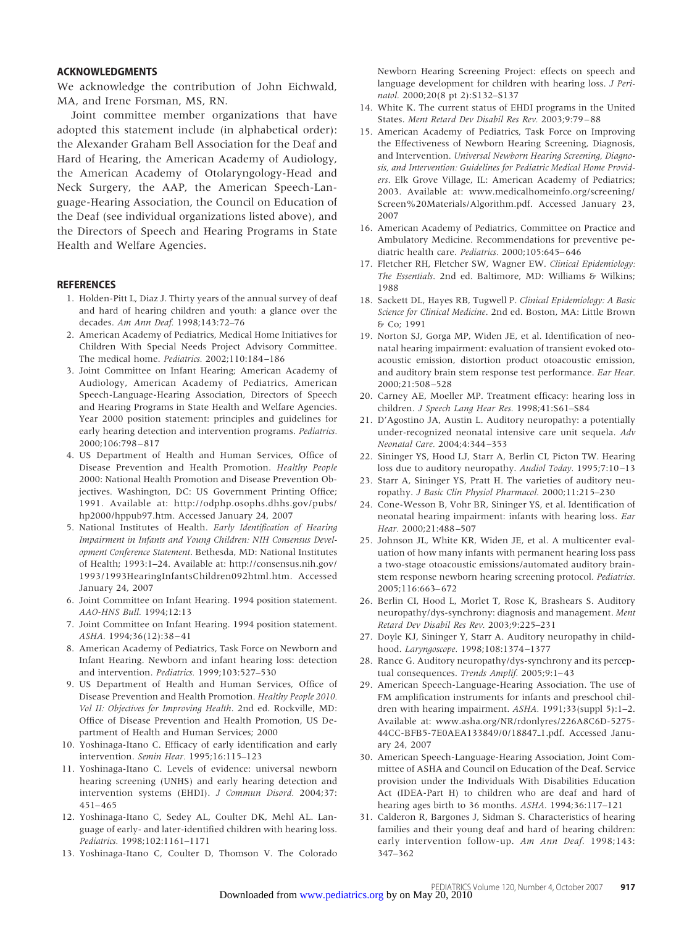# **ACKNOWLEDGMENTS**

We acknowledge the contribution of John Eichwald, MA, and Irene Forsman, MS, RN.

Joint committee member organizations that have adopted this statement include (in alphabetical order): the Alexander Graham Bell Association for the Deaf and Hard of Hearing, the American Academy of Audiology, the American Academy of Otolaryngology-Head and Neck Surgery, the AAP, the American Speech-Language-Hearing Association, the Council on Education of the Deaf (see individual organizations listed above), and the Directors of Speech and Hearing Programs in State Health and Welfare Agencies.

#### **REFERENCES**

- 1. Holden-Pitt L, Diaz J. Thirty years of the annual survey of deaf and hard of hearing children and youth: a glance over the decades. *Am Ann Deaf.* 1998;143:72–76
- 2. American Academy of Pediatrics, Medical Home Initiatives for Children With Special Needs Project Advisory Committee. The medical home. *Pediatrics.* 2002;110:184 –186
- 3. Joint Committee on Infant Hearing; American Academy of Audiology, American Academy of Pediatrics, American Speech-Language-Hearing Association, Directors of Speech and Hearing Programs in State Health and Welfare Agencies. Year 2000 position statement: principles and guidelines for early hearing detection and intervention programs. *Pediatrics.* 2000;106:798 – 817
- 4. US Department of Health and Human Services, Office of Disease Prevention and Health Promotion. *Healthy People* 2000: National Health Promotion and Disease Prevention Objectives. Washington, DC: US Government Printing Office; 1991. Available at: http://odphp.osophs.dhhs.gov/pubs/ hp2000/hppub97.htm. Accessed January 24, 2007
- 5. National Institutes of Health. *Early Identification of Hearing Impairment in Infants and Young Children: NIH Consensus Development Conference Statement*. Bethesda, MD: National Institutes of Health; 1993:1–24. Available at: http://consensus.nih.gov/ 1993/1993HearingInfantsChildren092html.htm. Accessed January 24, 2007
- 6. Joint Committee on Infant Hearing. 1994 position statement. *AAO-HNS Bull.* 1994;12:13
- 7. Joint Committee on Infant Hearing. 1994 position statement. *ASHA.* 1994;36(12):38 – 41
- 8. American Academy of Pediatrics, Task Force on Newborn and Infant Hearing. Newborn and infant hearing loss: detection and intervention. *Pediatrics.* 1999;103:527–530
- 9. US Department of Health and Human Services, Office of Disease Prevention and Health Promotion. *Healthy People 2010. Vol II: Objectives for Improving Health*. 2nd ed. Rockville, MD: Office of Disease Prevention and Health Promotion, US Department of Health and Human Services; 2000
- 10. Yoshinaga-Itano C. Efficacy of early identification and early intervention. *Semin Hear.* 1995;16:115–123
- 11. Yoshinaga-Itano C. Levels of evidence: universal newborn hearing screening (UNHS) and early hearing detection and intervention systems (EHDI). *J Commun Disord.* 2004;37:  $451 - 465$
- 12. Yoshinaga-Itano C, Sedey AL, Coulter DK, Mehl AL. Language of early- and later-identified children with hearing loss. *Pediatrics.* 1998;102:1161–1171
- 13. Yoshinaga-Itano C, Coulter D, Thomson V. The Colorado

Newborn Hearing Screening Project: effects on speech and language development for children with hearing loss. *J Perinatol.* 2000;20(8 pt 2):S132–S137

- 14. White K. The current status of EHDI programs in the United States. *Ment Retard Dev Disabil Res Rev.* 2003;9:79 – 88
- 15. American Academy of Pediatrics, Task Force on Improving the Effectiveness of Newborn Hearing Screening, Diagnosis, and Intervention. *Universal Newborn Hearing Screening, Diagnosis, and Intervention: Guidelines for Pediatric Medical Home Providers*. Elk Grove Village, IL: American Academy of Pediatrics; 2003. Available at: www.medicalhomeinfo.org/screening/ Screen%20Materials/Algorithm.pdf. Accessed January 23, 2007
- 16. American Academy of Pediatrics, Committee on Practice and Ambulatory Medicine. Recommendations for preventive pediatric health care. *Pediatrics.* 2000;105:645– 646
- 17. Fletcher RH, Fletcher SW, Wagner EW. *Clinical Epidemiology: The Essentials*. 2nd ed. Baltimore, MD: Williams & Wilkins; 1988
- 18. Sackett DL, Hayes RB, Tugwell P. *Clinical Epidemiology: A Basic Science for Clinical Medicine*. 2nd ed. Boston, MA: Little Brown & Co; 1991
- 19. Norton SJ, Gorga MP, Widen JE, et al. Identification of neonatal hearing impairment: evaluation of transient evoked otoacoustic emission, distortion product otoacoustic emission, and auditory brain stem response test performance. *Ear Hear.* 2000;21:508 –528
- 20. Carney AE, Moeller MP. Treatment efficacy: hearing loss in children. *J Speech Lang Hear Res.* 1998;41:S61–S84
- 21. D'Agostino JA, Austin L. Auditory neuropathy: a potentially under-recognized neonatal intensive care unit sequela. *Adv Neonatal Care.* 2004;4:344 –353
- 22. Sininger YS, Hood LJ, Starr A, Berlin CI, Picton TW. Hearing loss due to auditory neuropathy. *Audiol Today.* 1995;7:10 –13
- 23. Starr A, Sininger YS, Pratt H. The varieties of auditory neuropathy. *J Basic Clin Physiol Pharmacol.* 2000;11:215–230
- 24. Cone-Wesson B, Vohr BR, Sininger YS, et al. Identification of neonatal hearing impairment: infants with hearing loss. *Ear Hear.* 2000;21:488 –507
- 25. Johnson JL, White KR, Widen JE, et al. A multicenter evaluation of how many infants with permanent hearing loss pass a two-stage otoacoustic emissions/automated auditory brainstem response newborn hearing screening protocol. *Pediatrics.* 2005;116:663– 672
- 26. Berlin CI, Hood L, Morlet T, Rose K, Brashears S. Auditory neuropathy/dys-synchrony: diagnosis and management. *Ment Retard Dev Disabil Res Rev.* 2003;9:225–231
- 27. Doyle KJ, Sininger Y, Starr A. Auditory neuropathy in childhood. *Laryngoscope.* 1998;108:1374 –1377
- 28. Rance G. Auditory neuropathy/dys-synchrony and its perceptual consequences. *Trends Amplif.* 2005;9:1– 43
- 29. American Speech-Language-Hearing Association. The use of FM amplification instruments for infants and preschool children with hearing impairment. *ASHA.* 1991;33(suppl 5):1–2. Available at: www.asha.org/NR/rdonlyres/226A8C6D-5275- 44CC-BFB5-7E0AEA133849/0/18847-1.pdf. Accessed January 24, 2007
- 30. American Speech-Language-Hearing Association, Joint Committee of ASHA and Council on Education of the Deaf. Service provision under the Individuals With Disabilities Education Act (IDEA-Part H) to children who are deaf and hard of hearing ages birth to 36 months. *ASHA.* 1994;36:117–121
- 31. Calderon R, Bargones J, Sidman S. Characteristics of hearing families and their young deaf and hard of hearing children: early intervention follow-up. *Am Ann Deaf.* 1998;143: 347–362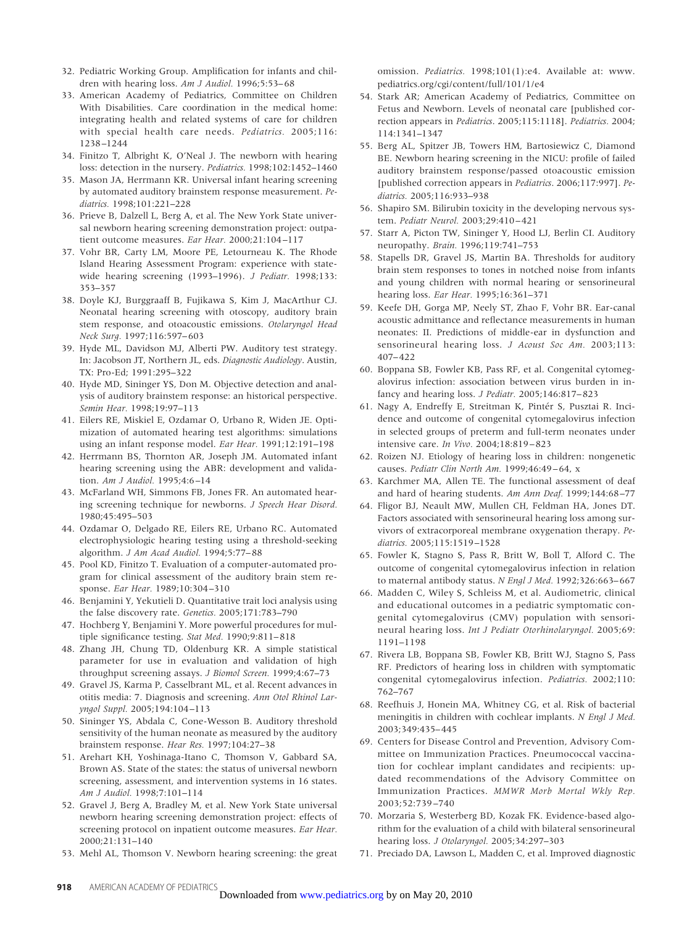- 32. Pediatric Working Group. Amplification for infants and children with hearing loss. Am J Audiol. 1996;5:53-68
- 33. American Academy of Pediatrics, Committee on Children With Disabilities. Care coordination in the medical home: integrating health and related systems of care for children with special health care needs. *Pediatrics.* 2005;116: 1238 –1244
- 34. Finitzo T, Albright K, O'Neal J. The newborn with hearing loss: detection in the nursery. *Pediatrics.* 1998;102:1452–1460
- 35. Mason JA, Herrmann KR. Universal infant hearing screening by automated auditory brainstem response measurement. *Pediatrics.* 1998;101:221–228
- 36. Prieve B, Dalzell L, Berg A, et al. The New York State universal newborn hearing screening demonstration project: outpatient outcome measures. *Ear Hear.* 2000;21:104 –117
- 37. Vohr BR, Carty LM, Moore PE, Letourneau K. The Rhode Island Hearing Assessment Program: experience with statewide hearing screening (1993–1996). *J Pediatr.* 1998;133: 353–357
- 38. Doyle KJ, Burggraaff B, Fujikawa S, Kim J, MacArthur CJ. Neonatal hearing screening with otoscopy, auditory brain stem response, and otoacoustic emissions. *Otolaryngol Head Neck Surg.* 1997;116:597– 603
- 39. Hyde ML, Davidson MJ, Alberti PW. Auditory test strategy. In: Jacobson JT, Northern JL, eds. *Diagnostic Audiology*. Austin, TX: Pro-Ed; 1991:295–322
- 40. Hyde MD, Sininger YS, Don M. Objective detection and analysis of auditory brainstem response: an historical perspective. *Semin Hear.* 1998;19:97–113
- 41. Eilers RE, Miskiel E, Ozdamar O, Urbano R, Widen JE. Optimization of automated hearing test algorithms: simulations using an infant response model. *Ear Hear.* 1991;12:191–198
- 42. Herrmann BS, Thornton AR, Joseph JM. Automated infant hearing screening using the ABR: development and validation. *Am J Audiol.* 1995;4:6 –14
- 43. McFarland WH, Simmons FB, Jones FR. An automated hearing screening technique for newborns. *J Speech Hear Disord.* 1980;45:495–503
- 44. Ozdamar O, Delgado RE, Eilers RE, Urbano RC. Automated electrophysiologic hearing testing using a threshold-seeking algorithm. *J Am Acad Audiol.* 1994;5:77– 88
- 45. Pool KD, Finitzo T. Evaluation of a computer-automated program for clinical assessment of the auditory brain stem response. *Ear Hear.* 1989;10:304 –310
- 46. Benjamini Y, Yekutieli D. Quantitative trait loci analysis using the false discovery rate. *Genetics.* 2005;171:783–790
- 47. Hochberg Y, Benjamini Y. More powerful procedures for multiple significance testing. Stat Med. 1990;9:811-818
- 48. Zhang JH, Chung TD, Oldenburg KR. A simple statistical parameter for use in evaluation and validation of high throughput screening assays. *J Biomol Screen.* 1999;4:67–73
- 49. Gravel JS, Karma P, Casselbrant ML, et al. Recent advances in otitis media: 7. Diagnosis and screening. *Ann Otol Rhinol Laryngol Suppl.* 2005;194:104 –113
- 50. Sininger YS, Abdala C, Cone-Wesson B. Auditory threshold sensitivity of the human neonate as measured by the auditory brainstem response. *Hear Res.* 1997;104:27–38
- 51. Arehart KH, Yoshinaga-Itano C, Thomson V, Gabbard SA, Brown AS. State of the states: the status of universal newborn screening, assessment, and intervention systems in 16 states. *Am J Audiol.* 1998;7:101–114
- 52. Gravel J, Berg A, Bradley M, et al. New York State universal newborn hearing screening demonstration project: effects of screening protocol on inpatient outcome measures. *Ear Hear.* 2000;21:131–140
- 53. Mehl AL, Thomson V. Newborn hearing screening: the great

omission. *Pediatrics.* 1998;101(1):e4. Available at: www. pediatrics.org/cgi/content/full/101/1/e4

- 54. Stark AR; American Academy of Pediatrics, Committee on Fetus and Newborn. Levels of neonatal care [published correction appears in *Pediatrics*. 2005;115:1118]. *Pediatrics.* 2004; 114:1341–1347
- 55. Berg AL, Spitzer JB, Towers HM, Bartosiewicz C, Diamond BE. Newborn hearing screening in the NICU: profile of failed auditory brainstem response/passed otoacoustic emission [published correction appears in *Pediatrics*. 2006;117:997]. *Pediatrics.* 2005;116:933–938
- 56. Shapiro SM. Bilirubin toxicity in the developing nervous system. *Pediatr Neurol.* 2003;29:410 – 421
- 57. Starr A, Picton TW, Sininger Y, Hood LJ, Berlin CI. Auditory neuropathy. *Brain.* 1996;119:741–753
- 58. Stapells DR, Gravel JS, Martin BA. Thresholds for auditory brain stem responses to tones in notched noise from infants and young children with normal hearing or sensorineural hearing loss. *Ear Hear.* 1995;16:361–371
- 59. Keefe DH, Gorga MP, Neely ST, Zhao F, Vohr BR. Ear-canal acoustic admittance and reflectance measurements in human neonates: II. Predictions of middle-ear in dysfunction and sensorineural hearing loss. *J Acoust Soc Am.* 2003;113: 407– 422
- 60. Boppana SB, Fowler KB, Pass RF, et al. Congenital cytomegalovirus infection: association between virus burden in infancy and hearing loss. *J Pediatr.* 2005;146:817– 823
- 61. Nagy A, Endreffy E, Streitman K, Pintér S, Pusztai R. Incidence and outcome of congenital cytomegalovirus infection in selected groups of preterm and full-term neonates under intensive care. *In Vivo.* 2004;18:819 – 823
- 62. Roizen NJ. Etiology of hearing loss in children: nongenetic causes. *Pediatr Clin North Am.* 1999;46:49 – 64, x
- 63. Karchmer MA, Allen TE. The functional assessment of deaf and hard of hearing students. Am Ann Deaf. 1999;144:68-77
- 64. Fligor BJ, Neault MW, Mullen CH, Feldman HA, Jones DT. Factors associated with sensorineural hearing loss among survivors of extracorporeal membrane oxygenation therapy. *Pediatrics.* 2005;115:1519 –1528
- 65. Fowler K, Stagno S, Pass R, Britt W, Boll T, Alford C. The outcome of congenital cytomegalovirus infection in relation to maternal antibody status. *N Engl J Med.* 1992;326:663-667
- 66. Madden C, Wiley S, Schleiss M, et al. Audiometric, clinical and educational outcomes in a pediatric symptomatic congenital cytomegalovirus (CMV) population with sensorineural hearing loss. *Int J Pediatr Otorhinolaryngol.* 2005;69: 1191–1198
- 67. Rivera LB, Boppana SB, Fowler KB, Britt WJ, Stagno S, Pass RF. Predictors of hearing loss in children with symptomatic congenital cytomegalovirus infection. *Pediatrics.* 2002;110: 762–767
- 68. Reefhuis J, Honein MA, Whitney CG, et al. Risk of bacterial meningitis in children with cochlear implants. *N Engl J Med.* 2003;349:435– 445
- 69. Centers for Disease Control and Prevention, Advisory Committee on Immunization Practices. Pneumococcal vaccination for cochlear implant candidates and recipients: updated recommendations of the Advisory Committee on Immunization Practices. *MMWR Morb Mortal Wkly Rep.* 2003;52:739 –740
- 70. Morzaria S, Westerberg BD, Kozak FK. Evidence-based algorithm for the evaluation of a child with bilateral sensorineural hearing loss. *J Otolaryngol.* 2005;34:297–303
- 71. Preciado DA, Lawson L, Madden C, et al. Improved diagnostic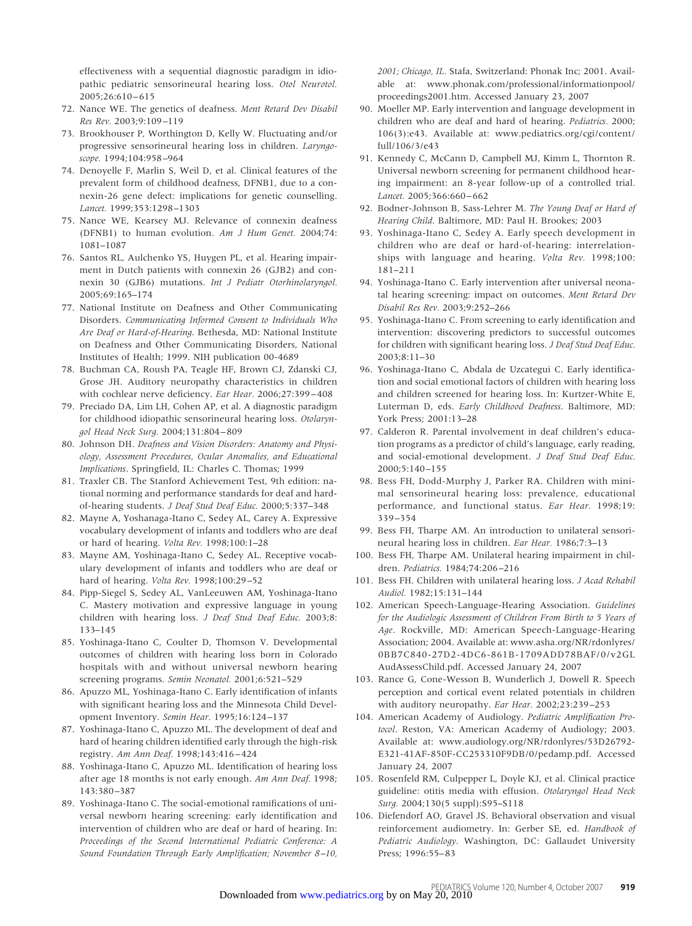effectiveness with a sequential diagnostic paradigm in idiopathic pediatric sensorineural hearing loss. *Otol Neurotol.* 2005;26:610 – 615

- 72. Nance WE. The genetics of deafness. *Ment Retard Dev Disabil Res Rev.* 2003;9:109 –119
- 73. Brookhouser P, Worthington D, Kelly W. Fluctuating and/or progressive sensorineural hearing loss in children. *Laryngoscope.* 1994;104:958 –964
- 74. Denoyelle F, Marlin S, Weil D, et al. Clinical features of the prevalent form of childhood deafness, DFNB1, due to a connexin-26 gene defect: implications for genetic counselling. *Lancet.* 1999;353:1298 –1303
- 75. Nance WE, Kearsey MJ. Relevance of connexin deafness (DFNB1) to human evolution. *Am J Hum Genet.* 2004;74: 1081–1087
- 76. Santos RL, Aulchenko YS, Huygen PL, et al. Hearing impairment in Dutch patients with connexin 26 (GJB2) and connexin 30 (GJB6) mutations. *Int J Pediatr Otorhinolaryngol.* 2005;69:165–174
- 77. National Institute on Deafness and Other Communicating Disorders. *Communicating Informed Consent to Individuals Who Are Deaf or Hard-of-Hearing*. Bethesda, MD: National Institute on Deafness and Other Communicating Disorders, National Institutes of Health; 1999. NIH publication 00-4689
- 78. Buchman CA, Roush PA, Teagle HF, Brown CJ, Zdanski CJ, Grose JH. Auditory neuropathy characteristics in children with cochlear nerve deficiency. *Ear Hear.* 2006;27:399 – 408
- 79. Preciado DA, Lim LH, Cohen AP, et al. A diagnostic paradigm for childhood idiopathic sensorineural hearing loss. *Otolaryngol Head Neck Surg.* 2004;131:804 – 809
- 80. Johnson DH. *Deafness and Vision Disorders: Anatomy and Physiology, Assessment Procedures, Ocular Anomalies, and Educational Implications*. Springfield, IL: Charles C. Thomas; 1999
- 81. Traxler CB. The Stanford Achievement Test, 9th edition: national norming and performance standards for deaf and hardof-hearing students. *J Deaf Stud Deaf Educ.* 2000;5:337–348
- 82. Mayne A, Yoshanaga-Itano C, Sedey AL, Carey A. Expressive vocabulary development of infants and toddlers who are deaf or hard of hearing. *Volta Rev.* 1998;100:1–28
- 83. Mayne AM, Yoshinaga-Itano C, Sedey AL. Receptive vocabulary development of infants and toddlers who are deaf or hard of hearing. *Volta Rev.* 1998;100:29 –52
- 84. Pipp-Siegel S, Sedey AL, VanLeeuwen AM, Yoshinaga-Itano C. Mastery motivation and expressive language in young children with hearing loss. *J Deaf Stud Deaf Educ.* 2003;8: 133–145
- 85. Yoshinaga-Itano C, Coulter D, Thomson V. Developmental outcomes of children with hearing loss born in Colorado hospitals with and without universal newborn hearing screening programs. *Semin Neonatol.* 2001;6:521–529
- 86. Apuzzo ML, Yoshinaga-Itano C. Early identification of infants with significant hearing loss and the Minnesota Child Development Inventory. *Semin Hear.* 1995;16:124 –137
- 87. Yoshinaga-Itano C, Apuzzo ML. The development of deaf and hard of hearing children identified early through the high-risk registry. *Am Ann Deaf.* 1998;143:416 – 424
- 88. Yoshinaga-Itano C, Apuzzo ML. Identification of hearing loss after age 18 months is not early enough. *Am Ann Deaf.* 1998; 143:380 –387
- 89. Yoshinaga-Itano C. The social-emotional ramifications of universal newborn hearing screening: early identification and intervention of children who are deaf or hard of hearing. In: *Proceedings of the Second International Pediatric Conference: A Sound Foundation Through Early Amplification; November 8 –10,*

*2001; Chicago, IL.* Stafa, Switzerland: Phonak Inc; 2001. Available at: www.phonak.com/professional/informationpool/ proceedings2001.htm. Accessed January 23, 2007

- 90. Moeller MP. Early intervention and language development in children who are deaf and hard of hearing. *Pediatrics.* 2000; 106(3):e43. Available at: www.pediatrics.org/cgi/content/ full/106/3/e43
- 91. Kennedy C, McCann D, Campbell MJ, Kimm L, Thornton R. Universal newborn screening for permanent childhood hearing impairment: an 8-year follow-up of a controlled trial. *Lancet.* 2005;366:660 – 662
- 92. Bodner-Johnson B, Sass-Lehrer M. *The Young Deaf or Hard of Hearing Child*. Baltimore, MD: Paul H. Brookes; 2003
- 93. Yoshinaga-Itano C, Sedey A. Early speech development in children who are deaf or hard-of-hearing: interrelationships with language and hearing. *Volta Rev.* 1998;100: 181–211
- 94. Yoshinaga-Itano C. Early intervention after universal neonatal hearing screening: impact on outcomes. *Ment Retard Dev Disabil Res Rev.* 2003;9:252–266
- 95. Yoshinaga-Itano C. From screening to early identification and intervention: discovering predictors to successful outcomes for children with significant hearing loss. *J Deaf Stud Deaf Educ.* 2003;8:11–30
- 96. Yoshinaga-Itano C, Abdala de Uzcategui C. Early identification and social emotional factors of children with hearing loss and children screened for hearing loss. In: Kurtzer-White E, Luterman D, eds. *Early Childhood Deafness*. Baltimore, MD: York Press; 2001:13–28
- 97. Calderon R. Parental involvement in deaf children's education programs as a predictor of child's language, early reading, and social-emotional development. *J Deaf Stud Deaf Educ.* 2000;5:140 –155
- 98. Bess FH, Dodd-Murphy J, Parker RA. Children with minimal sensorineural hearing loss: prevalence, educational performance, and functional status. *Ear Hear.* 1998;19: 339 –354
- 99. Bess FH, Tharpe AM. An introduction to unilateral sensorineural hearing loss in children. *Ear Hear.* 1986;7:3–13
- 100. Bess FH, Tharpe AM. Unilateral hearing impairment in children. *Pediatrics.* 1984;74:206 –216
- 101. Bess FH. Children with unilateral hearing loss. *J Acad Rehabil Audiol.* 1982;15:131–144
- 102. American Speech-Language-Hearing Association. *Guidelines for the Audiologic Assessment of Children From Birth to 5 Years of Age*. Rockville, MD: American Speech-Language-Hearing Association; 2004. Available at: www.asha.org/NR/rdonlyres/ 0BB7C840-27D2-4DC6-861B-1709ADD78BAF/0/v2GL AudAssessChild.pdf. Accessed January 24, 2007
- 103. Rance G, Cone-Wesson B, Wunderlich J, Dowell R. Speech perception and cortical event related potentials in children with auditory neuropathy. *Ear Hear.* 2002;23:239 –253
- 104. American Academy of Audiology. *Pediatric Amplification Protocol*. Reston, VA: American Academy of Audiology; 2003. Available at: www.audiology.org/NR/rdonlyres/53D26792- E321-41AF-850F-CC253310F9DB/0/pedamp.pdf. Accessed January 24, 2007
- 105. Rosenfeld RM, Culpepper L, Doyle KJ, et al. Clinical practice guideline: otitis media with effusion. *Otolaryngol Head Neck Surg.* 2004;130(5 suppl):S95–S118
- 106. Diefendorf AO, Gravel JS. Behavioral observation and visual reinforcement audiometry. In: Gerber SE, ed. *Handbook of Pediatric Audiology*. Washington, DC: Gallaudet University Press; 1996:55– 83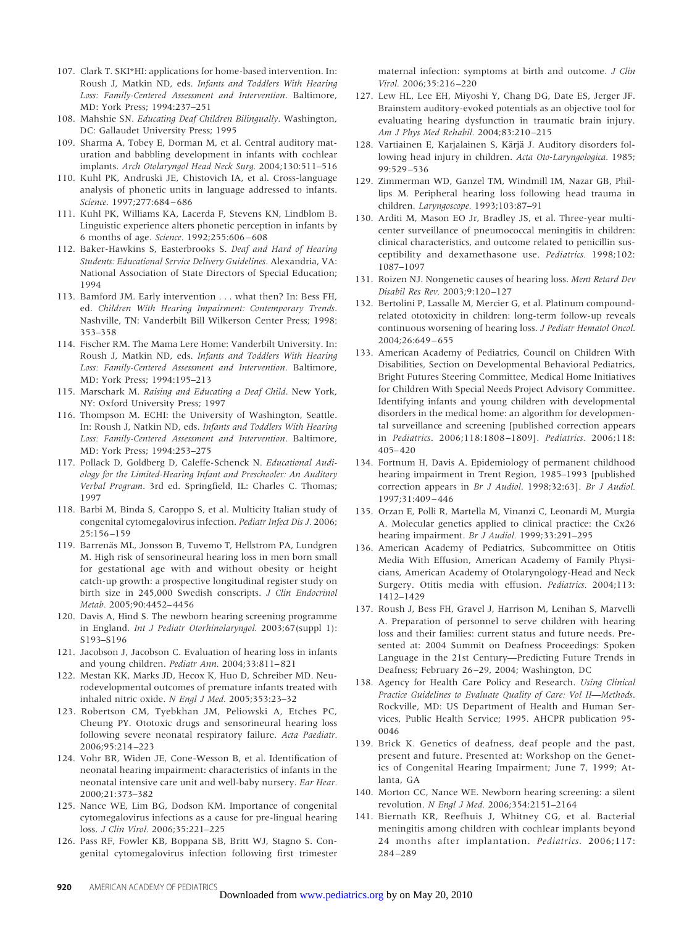- 107. Clark T. SKI\*HI: applications for home-based intervention. In: Roush J, Matkin ND, eds. *Infants and Toddlers With Hearing Loss: Family-Centered Assessment and Intervention*. Baltimore, MD: York Press; 1994:237–251
- 108. Mahshie SN. *Educating Deaf Children Bilingually*. Washington, DC: Gallaudet University Press; 1995
- 109. Sharma A, Tobey E, Dorman M, et al. Central auditory maturation and babbling development in infants with cochlear implants. *Arch Otolaryngol Head Neck Surg.* 2004;130:511–516
- 110. Kuhl PK, Andruski JE, Chistovich IA, et al. Cross-language analysis of phonetic units in language addressed to infants. *Science.* 1997;277:684 – 686
- 111. Kuhl PK, Williams KA, Lacerda F, Stevens KN, Lindblom B. Linguistic experience alters phonetic perception in infants by 6 months of age. *Science.* 1992;255:606 – 608
- 112. Baker-Hawkins S, Easterbrooks S. *Deaf and Hard of Hearing Students: Educational Service Delivery Guidelines*. Alexandria, VA: National Association of State Directors of Special Education; 1994
- 113. Bamford JM. Early intervention . . . what then? In: Bess FH, ed. *Children With Hearing Impairment: Contemporary Trends*. Nashville, TN: Vanderbilt Bill Wilkerson Center Press; 1998: 353–358
- 114. Fischer RM. The Mama Lere Home: Vanderbilt University. In: Roush J, Matkin ND, eds. *Infants and Toddlers With Hearing Loss: Family-Centered Assessment and Intervention*. Baltimore, MD: York Press; 1994:195–213
- 115. Marschark M. *Raising and Educating a Deaf Child*. New York, NY: Oxford University Press; 1997
- 116. Thompson M. ECHI: the University of Washington, Seattle. In: Roush J, Natkin ND, eds. *Infants and Toddlers With Hearing Loss: Family-Centered Assessment and Intervention*. Baltimore, MD: York Press; 1994:253–275
- 117. Pollack D, Goldberg D, Caleffe-Schenck N. *Educational Audiology for the Limited-Hearing Infant and Preschooler: An Auditory Verbal Program*. 3rd ed. Springfield, IL: Charles C. Thomas; 1997
- 118. Barbi M, Binda S, Caroppo S, et al. Multicity Italian study of congenital cytomegalovirus infection. *Pediatr Infect Dis J.* 2006; 25:156 –159
- 119. Barrenäs ML, Jonsson B, Tuvemo T, Hellstrom PA, Lundgren M. High risk of sensorineural hearing loss in men born small for gestational age with and without obesity or height catch-up growth: a prospective longitudinal register study on birth size in 245,000 Swedish conscripts. *J Clin Endocrinol Metab.* 2005;90:4452– 4456
- 120. Davis A, Hind S. The newborn hearing screening programme in England. *Int J Pediatr Otorhinolaryngol.* 2003;67(suppl 1): S193–S196
- 121. Jacobson J, Jacobson C. Evaluation of hearing loss in infants and young children. *Pediatr Ann.* 2004;33:811– 821
- 122. Mestan KK, Marks JD, Hecox K, Huo D, Schreiber MD. Neurodevelopmental outcomes of premature infants treated with inhaled nitric oxide. *N Engl J Med.* 2005;353:23–32
- 123. Robertson CM, Tyebkhan JM, Peliowski A, Etches PC, Cheung PY. Ototoxic drugs and sensorineural hearing loss following severe neonatal respiratory failure. *Acta Paediatr.* 2006;95:214 –223
- 124. Vohr BR, Widen JE, Cone-Wesson B, et al. Identification of neonatal hearing impairment: characteristics of infants in the neonatal intensive care unit and well-baby nursery. *Ear Hear.* 2000;21:373–382
- 125. Nance WE, Lim BG, Dodson KM. Importance of congenital cytomegalovirus infections as a cause for pre-lingual hearing loss. *J Clin Virol.* 2006;35:221–225
- 126. Pass RF, Fowler KB, Boppana SB, Britt WJ, Stagno S. Congenital cytomegalovirus infection following first trimester

maternal infection: symptoms at birth and outcome. *J Clin Virol.* 2006;35:216 –220

- 127. Lew HL, Lee EH, Miyoshi Y, Chang DG, Date ES, Jerger JF. Brainstem auditory-evoked potentials as an objective tool for evaluating hearing dysfunction in traumatic brain injury. *Am J Phys Med Rehabil.* 2004;83:210 –215
- 128. Vartiainen E, Karjalainen S, Kärjä J. Auditory disorders following head injury in children. *Acta Oto-Laryngologica.* 1985; 99:529 –536
- 129. Zimmerman WD, Ganzel TM, Windmill IM, Nazar GB, Phillips M. Peripheral hearing loss following head trauma in children. *Laryngoscope.* 1993;103:87–91
- 130. Arditi M, Mason EO Jr, Bradley JS, et al. Three-year multicenter surveillance of pneumococcal meningitis in children: clinical characteristics, and outcome related to penicillin susceptibility and dexamethasone use. *Pediatrics.* 1998;102: 1087–1097
- 131. Roizen NJ. Nongenetic causes of hearing loss. *Ment Retard Dev Disabil Res Rev.* 2003;9:120 –127
- 132. Bertolini P, Lassalle M, Mercier G, et al. Platinum compoundrelated ototoxicity in children: long-term follow-up reveals continuous worsening of hearing loss. *J Pediatr Hematol Oncol.* 2004;26:649 – 655
- 133. American Academy of Pediatrics, Council on Children With Disabilities, Section on Developmental Behavioral Pediatrics, Bright Futures Steering Committee, Medical Home Initiatives for Children With Special Needs Project Advisory Committee. Identifying infants and young children with developmental disorders in the medical home: an algorithm for developmental surveillance and screening [published correction appears in *Pediatrics*. 2006;118:1808 –1809]. *Pediatrics.* 2006;118: 405– 420
- 134. Fortnum H, Davis A. Epidemiology of permanent childhood hearing impairment in Trent Region, 1985–1993 [published correction appears in *Br J Audiol*. 1998;32:63]. *Br J Audiol.* 1997;31:409 – 446
- 135. Orzan E, Polli R, Martella M, Vinanzi C, Leonardi M, Murgia A. Molecular genetics applied to clinical practice: the Cx26 hearing impairment. *Br J Audiol.* 1999;33:291–295
- 136. American Academy of Pediatrics, Subcommittee on Otitis Media With Effusion, American Academy of Family Physicians, American Academy of Otolaryngology-Head and Neck Surgery. Otitis media with effusion. *Pediatrics.* 2004;113: 1412–1429
- 137. Roush J, Bess FH, Gravel J, Harrison M, Lenihan S, Marvelli A. Preparation of personnel to serve children with hearing loss and their families: current status and future needs. Presented at: 2004 Summit on Deafness Proceedings: Spoken Language in the 21st Century—Predicting Future Trends in Deafness; February 26 –29, 2004; Washington, DC
- 138. Agency for Health Care Policy and Research. *Using Clinical Practice Guidelines to Evaluate Quality of Care: Vol II—Methods*. Rockville, MD: US Department of Health and Human Services, Public Health Service; 1995. AHCPR publication 95- 0046
- 139. Brick K. Genetics of deafness, deaf people and the past, present and future. Presented at: Workshop on the Genetics of Congenital Hearing Impairment; June 7, 1999; Atlanta, GA
- 140. Morton CC, Nance WE. Newborn hearing screening: a silent revolution. *N Engl J Med.* 2006;354:2151–2164
- 141. Biernath KR, Reefhuis J, Whitney CG, et al. Bacterial meningitis among children with cochlear implants beyond 24 months after implantation. *Pediatrics.* 2006;117: 284 –289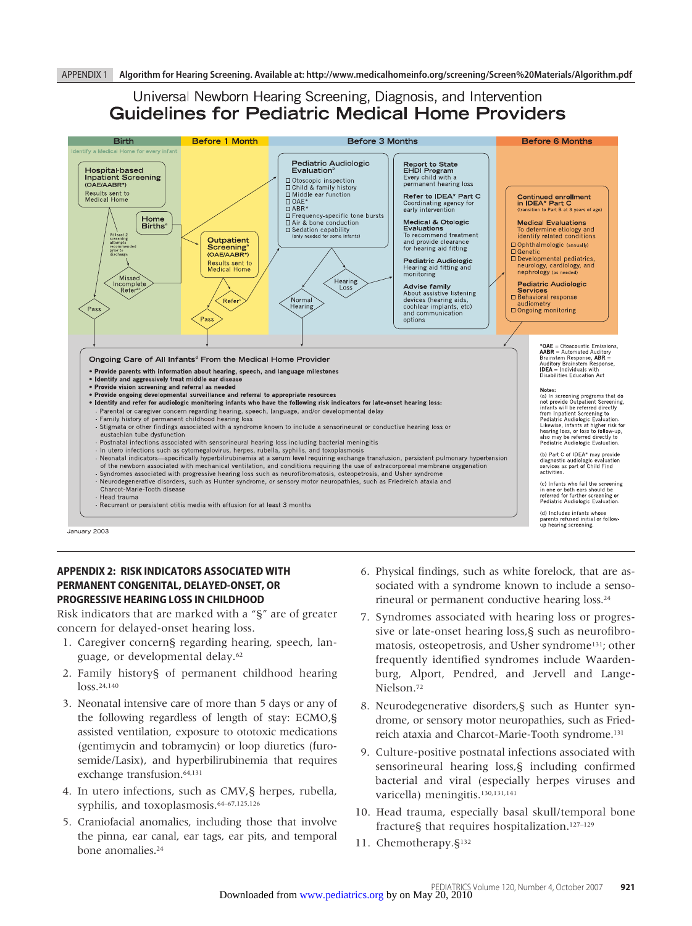# Universal Newborn Hearing Screening, Diagnosis, and Intervention **Guidelines for Pediatric Medical Home Providers**



# **APPENDIX 2: RISK INDICATORS ASSOCIATED WITH PERMANENT CONGENITAL, DELAYED-ONSET, OR PROGRESSIVE HEARING LOSS IN CHILDHOOD**

Risk indicators that are marked with a "§" are of greater concern for delayed-onset hearing loss.

- 1. Caregiver concern§ regarding hearing, speech, language, or developmental delay.62
- 2. Family history§ of permanent childhood hearing loss.<sup>24,140</sup>
- 3. Neonatal intensive care of more than 5 days or any of the following regardless of length of stay: ECMO,§ assisted ventilation, exposure to ototoxic medications (gentimycin and tobramycin) or loop diuretics (furosemide/Lasix), and hyperbilirubinemia that requires exchange transfusion.<sup>64,131</sup>
- 4. In utero infections, such as CMV,§ herpes, rubella, syphilis, and toxoplasmosis.64–67,125,126
- 5. Craniofacial anomalies, including those that involve the pinna, ear canal, ear tags, ear pits, and temporal bone anomalies.24
- 6. Physical findings, such as white forelock, that are associated with a syndrome known to include a sensorineural or permanent conductive hearing loss.24
- 7. Syndromes associated with hearing loss or progressive or late-onset hearing loss,§ such as neurofibromatosis, osteopetrosis, and Usher syndrome131; other frequently identified syndromes include Waardenburg, Alport, Pendred, and Jervell and Lange-Nielson.72
- 8. Neurodegenerative disorders,§ such as Hunter syndrome, or sensory motor neuropathies, such as Friedreich ataxia and Charcot-Marie-Tooth syndrome.131
- 9. Culture-positive postnatal infections associated with sensorineural hearing loss,§ including confirmed bacterial and viral (especially herpes viruses and varicella) meningitis.130,131,141
- 10. Head trauma, especially basal skull/temporal bone fracture§ that requires hospitalization.<sup>127-129</sup>
- 11. Chemotherapy.§132